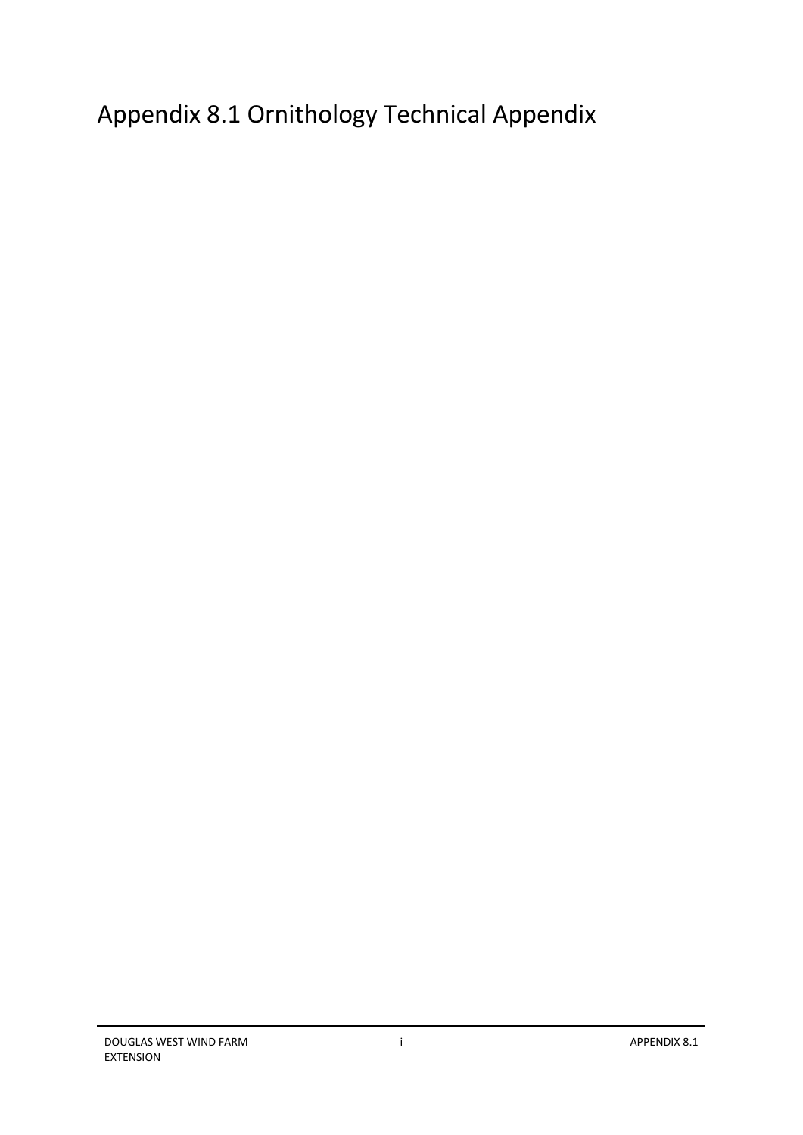Appendix 8.1 Ornithology Technical Appendix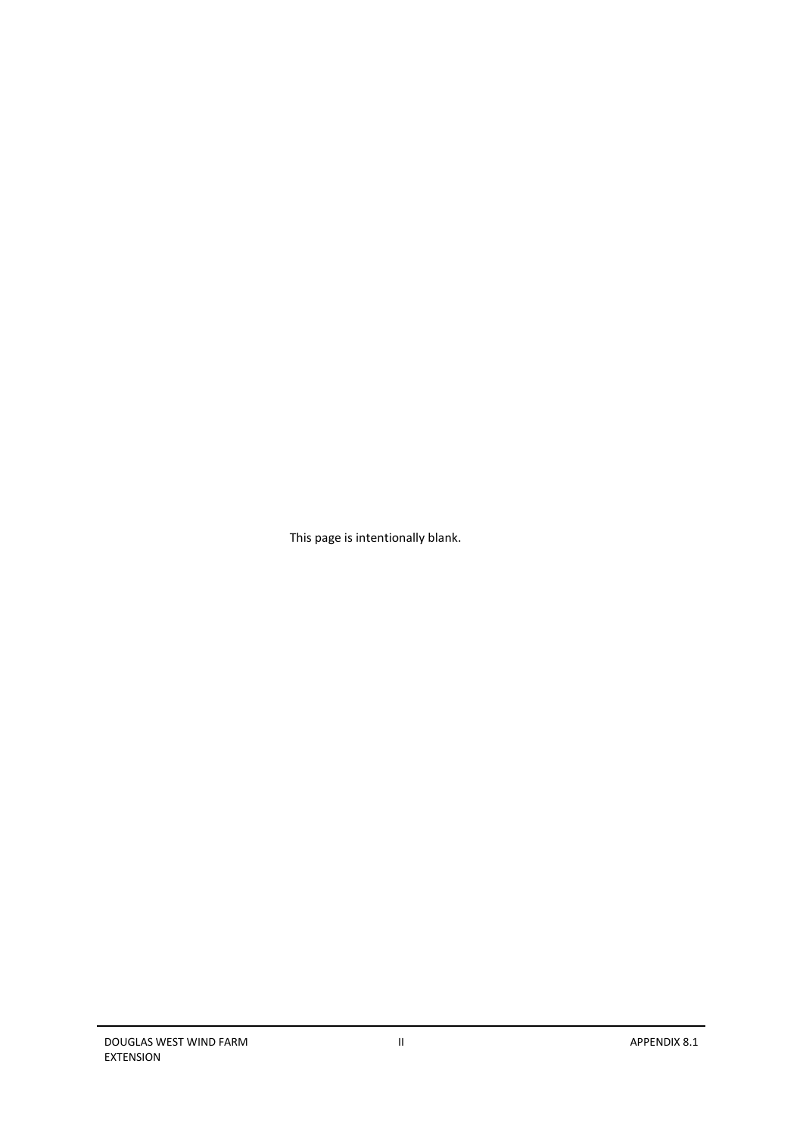This page is intentionally blank.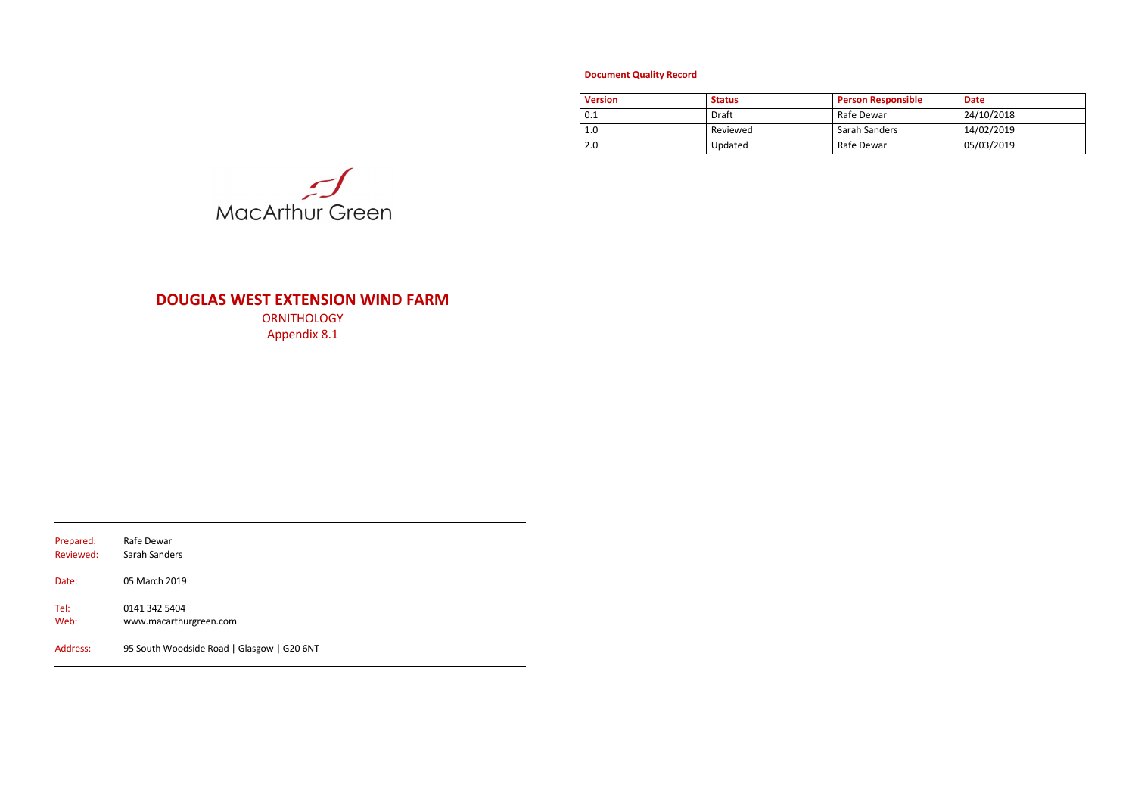# **DOUGLAS WEST EXTENSION WIND FARM**

**ORNITHOLOGY** Appendix 8.1

| Prepared: | Rafe Dewar                                 |
|-----------|--------------------------------------------|
| Reviewed: | Sarah Sanders                              |
| Date:     | 05 March 2019                              |
| Tel:      | 0141 342 5404                              |
| Web:      | www.macarthurgreen.com                     |
| Address:  | 95 South Woodside Road   Glasgow   G20 6NT |

# **Document Quality Record**

| <b>Version</b> | <b>Status</b> | <b>Person Responsible</b> | <b>Date</b> |
|----------------|---------------|---------------------------|-------------|
| 0.1            | Draft         | Rafe Dewar                | 24/10/2018  |
| 1.0            | Reviewed      | Sarah Sanders             | 14/02/2019  |
| 2.0            | Updated       | Rafe Dewar                | 05/03/2019  |

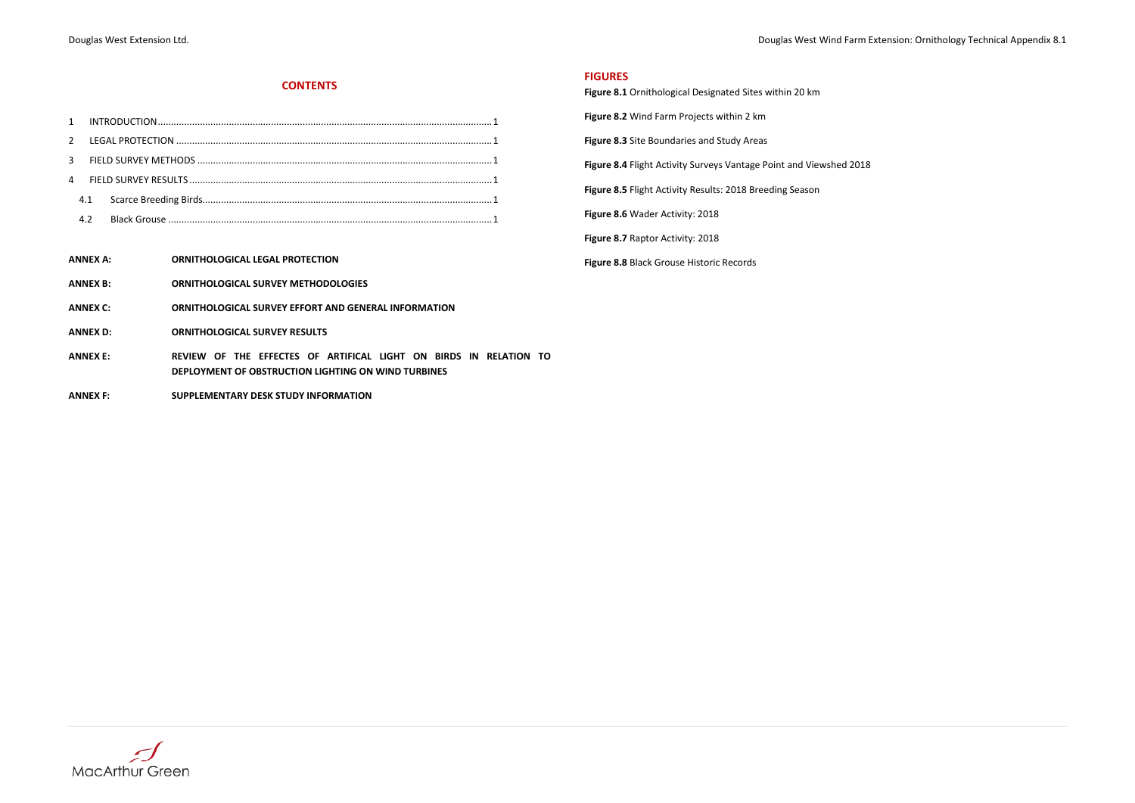Douglas West Extension Ltd. Douglas West Wind Farm Extension: Ornithology Technical Appendix 8.1

### **CONTENTS**

#### **ANNEX A: ORNITHOLOGICAL LEGAL PROTECTION**

- **ANNEX B: ORNITHOLOGICAL SURVEY METHODOLOGIES**
- **ANNEX C: ORNITHOLOGICAL SURVEY EFFORT AND GENERAL INFORMATION**
- **ANNEX D: ORNITHOLOGICAL SURVEY RESULTS**
- **ANNEX E: REVIEW OF THE EFFECTES OF ARTIFICAL LIGHT ON BIRDS IN RELATION TO DEPLOYMENT OF OBSTRUCTION LIGHTING ON WIND TURBINES**
- **ANNEX F: SUPPLEMENTARY DESK STUDY INFORMATION**

#### **FIGURES**

**Figure 8.2** Wind Farm Projects within 2 km

<span id="page-3-0"></span>**Figure 8.3** Site Boundaries and Study Areas

**Figure 8.4** Flight Activity Surveys Vantage Point and Viewshed 2018

**Figure 8.5** Flight Activity Results: 2018 Breeding Season

**Figure 8.6** Wader Activity: 2018

**Figure 8.7** Raptor Activity: 2018

**Figure 8.8** Black Grouse Historic Records

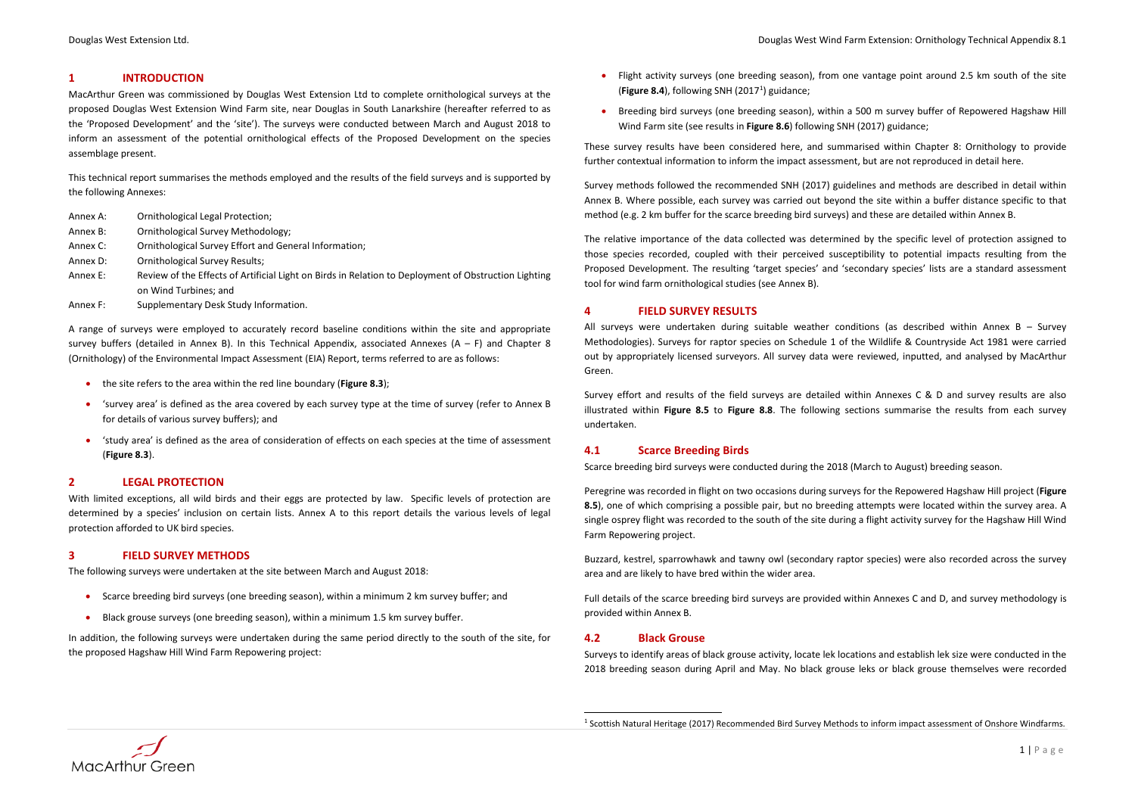Douglas West Extension Ltd. Douglas West Wind Farm Extension: Ornithology Technical Appendix 8.1

# <span id="page-4-0"></span>**1 INTRODUCTION**

MacArthur Green was commissioned by Douglas West Extension Ltd to complete ornithological surveys at the proposed Douglas West Extension Wind Farm site, near Douglas in South Lanarkshire (hereafter referred to as the 'Proposed Development' and the 'site'). The surveys were conducted between March and August 2018 to inform an assessment of the potential ornithological effects of the Proposed Development on the species assemblage present.

This technical report summarises the methods employed and the results of the field surveys and is supported by the following Annexes:

- Annex A: Ornithological Legal Protection;
- Annex B: Ornithological Survey Methodology;
- Annex C: Ornithological Survey Effort and General Information;
- Annex D: Ornithological Survey Results;
- Annex E: Review of the Effects of Artificial Light on Birds in Relation to Deployment of Obstruction Lighting on Wind Turbines; and
- Annex F: Supplementary Desk Study Information.

A range of surveys were employed to accurately record baseline conditions within the site and appropriate survey buffers (detailed in Annex B). In this Technical Appendix, associated Annexes (A – F) and Chapter 8 (Ornithology) of the Environmental Impact Assessment (EIA) Report, terms referred to are as follows:

- the site refers to the area within the red line boundary (**[Figure 8.3](#page-3-0)**);
- 'survey area' is defined as the area covered by each survey type at the time of survey (refer to Annex B for details of various survey buffers); and
- 'study area' is defined as the area of consideration of effects on each species at the time of assessment (**[Figure 8.3](#page-3-0)**).

# <span id="page-4-1"></span>**2 LEGAL PROTECTION**

With limited exceptions, all wild birds and their eggs are protected by law. Specific levels of protection are determined by a species' inclusion on certain lists. Annex A to this report details the various levels of legal protection afforded to UK bird species.

# <span id="page-4-2"></span>**3 FIELD SURVEY METHODS**

The following surveys were undertaken at the site between March and August 2018:

- Scarce breeding bird surveys (one breeding season), within a minimum 2 km survey buffer; and
- Black grouse surveys (one breeding season), within a minimum 1.5 km survey buffer.

In addition, the following surveys were undertaken during the same period directly to the south of the site, for the proposed Hagshaw Hill Wind Farm Repowering project:

- <span id="page-4-6"></span>• Flight activity surveys (one breeding season), from one vantage point around 2.5 km south of the site (Figure 8.4), following SNH (20[1](#page-4-6)7<sup>1</sup>) guidance;
- Breeding bird surveys (one breeding season), within a 500 m survey buffer of Repowered Hagshaw Hill Wind Farm site (see results in **Figure 8.6**) following SNH (2017) guidance;

These survey results have been considered here, and summarised within Chapter 8: Ornithology to provide further contextual information to inform the impact assessment, but are not reproduced in detail here.

Survey methods followed the recommended SNH (2017) guidelines and methods are described in detail within Annex B. Where possible, each survey was carried out beyond the site within a buffer distance specific to that method (e.g. 2 km buffer for the scarce breeding bird surveys) and these are detailed within Annex B.

The relative importance of the data collected was determined by the specific level of protection assigned to those species recorded, coupled with their perceived susceptibility to potential impacts resulting from the Proposed Development. The resulting 'target species' and 'secondary species' lists are a standard assessment tool for wind farm ornithological studies (see Annex B).

# <span id="page-4-3"></span>**4 FIELD SURVEY RESULTS**

All surveys were undertaken during suitable weather conditions (as described within Annex B – Survey Methodologies). Surveys for raptor species on Schedule 1 of the Wildlife & Countryside Act 1981 were carried out by appropriately licensed surveyors. All survey data were reviewed, inputted, and analysed by MacArthur Green.

Survey effort and results of the field surveys are detailed within Annexes C & D and survey results are also illustrated within **Figure 8.5** to **Figure 8.8**. The following sections summarise the results from each survey undertaken.

# <span id="page-4-4"></span>**4.1 Scarce Breeding Birds**

Scarce breeding bird surveys were conducted during the 2018 (March to August) breeding season.

Peregrine was recorded in flight on two occasions during surveys for the Repowered Hagshaw Hill project (**Figure 8.5**), one of which comprising a possible pair, but no breeding attempts were located within the survey area. A single osprey flight was recorded to the south of the site during a flight activity survey for the Hagshaw Hill Wind Farm Repowering project.

Buzzard, kestrel, sparrowhawk and tawny owl (secondary raptor species) were also recorded across the survey area and are likely to have bred within the wider area.

Full details of the scarce breeding bird surveys are provided within Annexes C and D, and survey methodology is provided within Annex B.

# <span id="page-4-5"></span>**4.2 Black Grouse**

Surveys to identify areas of black grouse activity, locate lek locations and establish lek size were conducted in the 2018 breeding season during April and May. No black grouse leks or black grouse themselves were recorded



<sup>&</sup>lt;sup>1</sup> Scottish Natural Heritage (2017) Recommended Bird Survey Methods to inform impact assessment of Onshore Windfarms.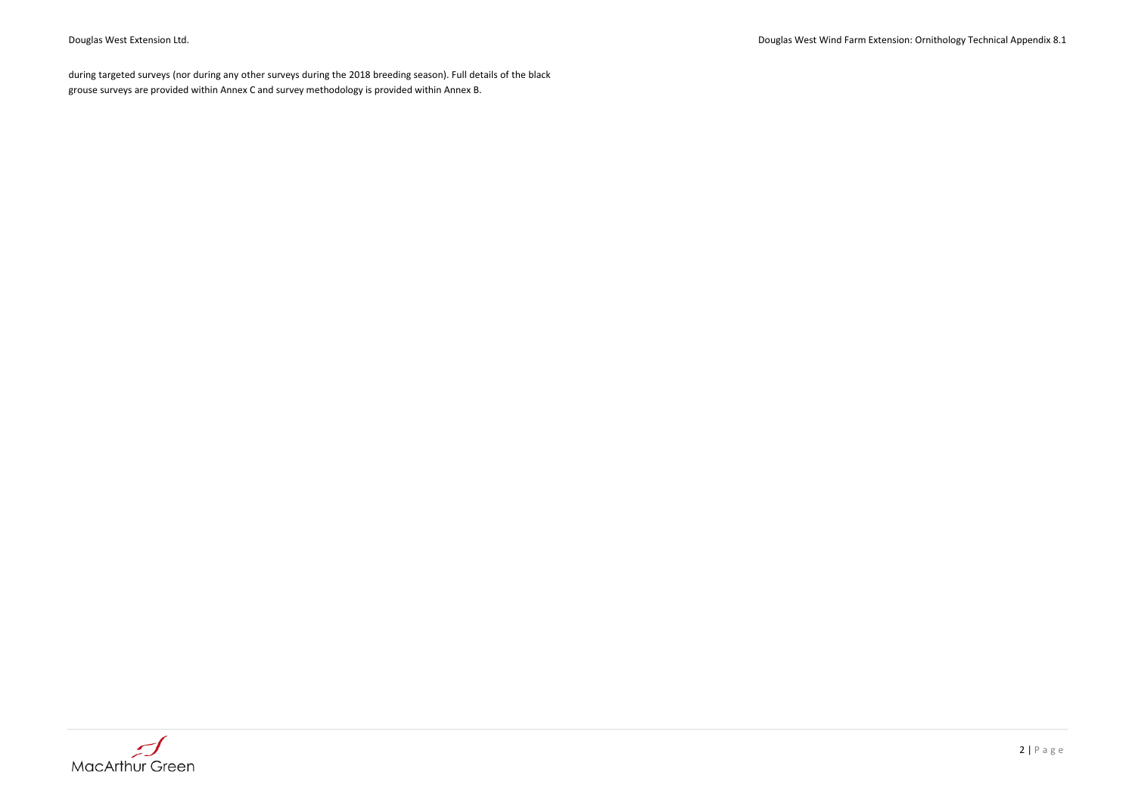Douglas West Extension Ltd. Douglas West Wind Farm Extension: Ornithology Technical Appendix 8.1

during targeted surveys (nor during any other surveys during the 2018 breeding season). Full details of the black grouse surveys are provided within Annex C and survey methodology is provided within Annex B.

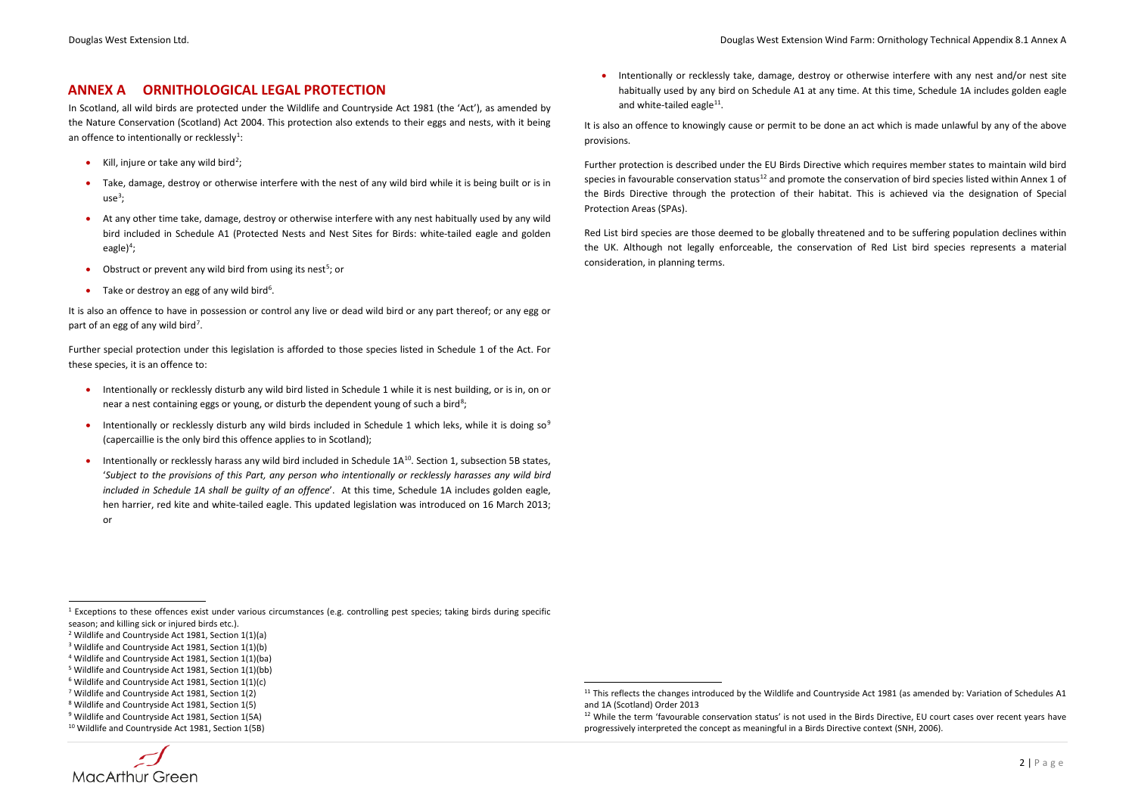Douglas West Extension Ltd. Douglas West Extension Wind Farm: Ornithology Technical Appendix 8.1 Annex A

In Scotland, all wild birds are protected under the Wildlife and Countryside Act 1981 (the 'Act'), as amended by the Nature Conservation (Scotland) Act 2004. This protection also extends to their eggs and nests, with it being an offence to intentionally or recklessly<sup>[1](#page-6-0)</sup>:

- Kill, injure or take any wild bird<sup>[2](#page-6-1)</sup>;
- Take, damage, destroy or otherwise interfere with the nest of any wild bird while it is being built or is in use $^3;$  $^3;$  $^3;$
- At any other time take, damage, destroy or otherwise interfere with any nest habitually used by any wild bird included in Schedule A1 (Protected Nests and Nest Sites for Birds: white-tailed eagle and golden eagle)<sup>[4](#page-6-3)</sup>;
- Obstruct or prevent any wild bird from using its nest<sup>[5](#page-6-4)</sup>; or
- Take or destroy an egg of any wild bird<sup>[6](#page-6-5)</sup>.

# **ANNEX A ORNITHOLOGICAL LEGAL PROTECTION**

It is also an offence to have in possession or control any live or dead wild bird or any part thereof; or any egg or part of an egg of any wild bird<sup>[7](#page-6-6)</sup>.

Further special protection under this legislation is afforded to those species listed in Schedule 1 of the Act. For these species, it is an offence to:

- <sup>8</sup> Wildlife and Countryside Act 1981, Section 1(5)
- <sup>9</sup> Wildlife and Countryside Act 1981, Section 1(5A)

<span id="page-6-9"></span><span id="page-6-8"></span><span id="page-6-7"></span><span id="page-6-6"></span><span id="page-6-5"></span><span id="page-6-4"></span><span id="page-6-3"></span><span id="page-6-2"></span><span id="page-6-1"></span><span id="page-6-0"></span>• Intentionally or recklessly take, damage, destroy or otherwise interfere with any nest and/or nest site habitually used by any bird on Schedule A1 at any time. At this time, Schedule 1A includes golden eagle and white-tailed eagle $^{11}$  $^{11}$  $^{11}$ .

- Intentionally or recklessly disturb any wild bird listed in Schedule 1 while it is nest building, or is in, on or near a nest containing eggs or young, or disturb the dependent young of such a bird<sup>[8](#page-6-7)</sup>;
- Intentionally or recklessly disturb any wild birds included in Schedule 1 which leks, while it is doing so<sup>[9](#page-6-8)</sup> (capercaillie is the only bird this offence applies to in Scotland);
- Intentionally or recklessly harass any wild bird included in Schedule 1A<sup>10</sup>. Section 1, subsection 5B states, '*Subject to the provisions of this Part, any person who intentionally or recklessly harasses any wild bird included in Schedule 1A shall be guilty of an offence*'. At this time, Schedule 1A includes golden eagle, hen harrier, red kite and white-tailed eagle. This updated legislation was introduced on 16 March 2013; or

 $1$  Exceptions to these offences exist under various circumstances (e.g. controlling pest species; taking birds during specific season; and killing sick or injured birds etc.).

<sup>10</sup> Wildlife and Countryside Act 1981, Section 1(5B)



It is also an offence to knowingly cause or permit to be done an act which is made unlawful by any of the above provisions.

Further protection is described under the EU Birds Directive which requires member states to maintain wild bird species in favourable conservation status<sup>[12](#page-6-8)</sup> and promote the conservation of bird species listed within Annex 1 of the Birds Directive through the protection of their habitat. This is achieved via the designation of Special Protection Areas (SPAs).

Red List bird species are those deemed to be globally threatened and to be suffering population declines within the UK. Although not legally enforceable, the conservation of Red List bird species represents a material consideration, in planning terms.

<sup>&</sup>lt;sup>11</sup> This reflects the changes introduced by the Wildlife and Countryside Act 1981 (as amended by: Variation of Schedules A1 and 1A (Scotland) Order 2013

<sup>&</sup>lt;sup>12</sup> While the term 'favourable conservation status' is not used in the Birds Directive. EU court cases over recent years have progressively interpreted the concept as meaningful in a Birds Directive context (SNH, 2006).

<sup>2</sup> Wildlife and Countryside Act 1981, Section 1(1)(a)

<sup>&</sup>lt;sup>3</sup> Wildlife and Countryside Act 1981, Section 1(1)(b)

<sup>4</sup> Wildlife and Countryside Act 1981, Section 1(1)(ba)

<sup>5</sup> Wildlife and Countryside Act 1981, Section 1(1)(bb)

 $6$  Wildlife and Countryside Act 1981, Section 1(1)(c)

<sup>7</sup> Wildlife and Countryside Act 1981, Section 1(2)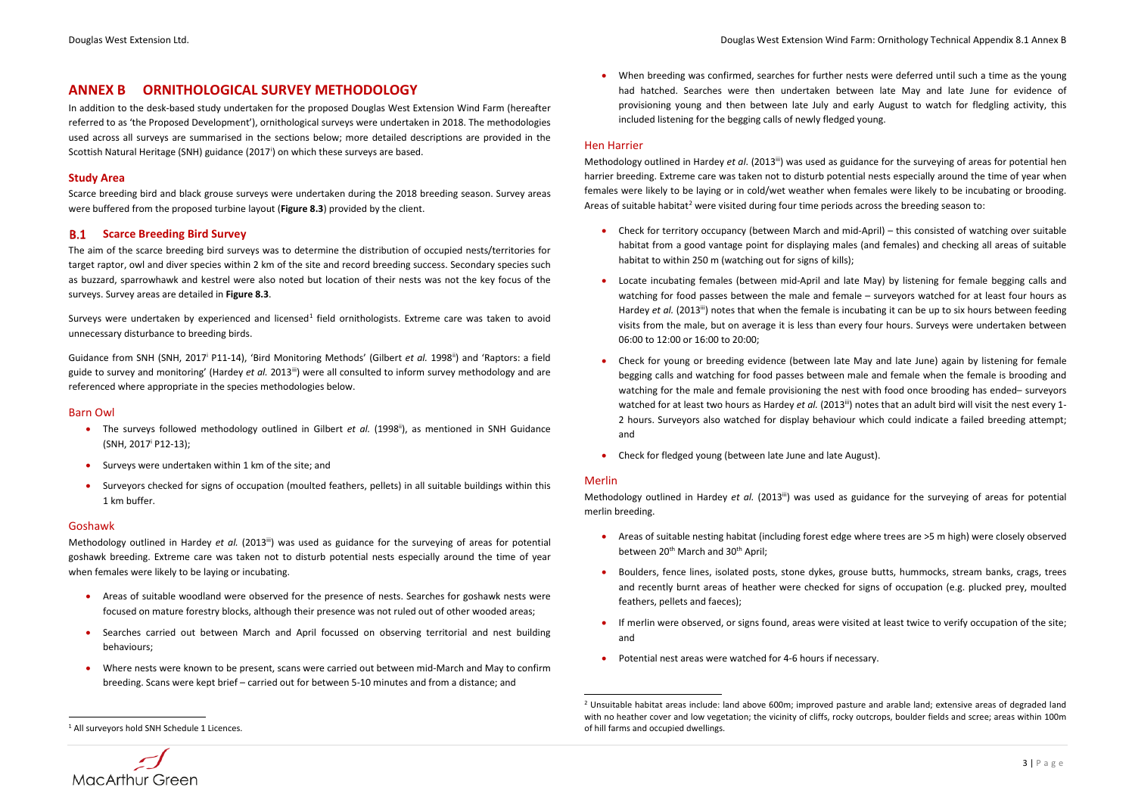Douglas West Extension Ltd. Douglas West Extension Wind Farm: Ornithology Technical Appendix 8.1 Annex B

In addition to the desk-based study undertaken for the proposed Douglas West Extension Wind Farm (hereafter referred to as 'the Proposed Development'), ornithological surveys were undertaken in 2018. The methodologies used across all surveys are summarised in the sections below; more detailed descriptions are provided in the Scott[i](#page-8-0)sh Natural Heritage (SNH) guidance (2017<sup>i</sup>) on which these surveys are based.

# **ANNEX B ORNITHOLOGICAL SURVEY METHODOLOGY**

# <span id="page-7-0"></span>**Study Area**

Surveys were undertaken by experienced and licensed<sup>[1](#page-7-3)</sup> field ornithologists. Extreme care was taken to avoid unnecessary disturbance to breeding birds.

Scarce breeding bird and black grouse surveys were undertaken during the 2018 breeding season. Survey areas were buffered from the proposed turbine layout (**Figure 8.3**) provided by the client.

# **Scarce Breeding Bird Survey**

Guidance from SNH (SNH, 2017<sup>i</sup> P11-14), 'Bird Monitoring Methods' (Gilbert *et al.* 1998<sup>ii</sup>) and 'Raptors: a field guide to survey and monitoring' (Hardey *et al.* 2013<sup>iii</sup>) were all consulted to inform survey methodology and are referenced where appropriate in the species methodologies below.

- <span id="page-7-2"></span>The surveys followed methodology outlined in Gilbert *et al.* (1998<sup>ii</sup>), as mentioned in SNH Guidance (SNH, 2017<sup>i</sup> P12-13);
- Surveys were undertaken within 1 km of the site; and
- Surveyors checked for signs of occupation (moulted feathers, pellets) in all suitable buildings within this 1 km buffer.

The aim of the scarce breeding bird surveys was to determine the distribution of occupied nests/territories for target raptor, owl and diver species within 2 km of the site and record breeding success. Secondary species such as buzzard, sparrowhawk and kestrel were also noted but location of their nests was not the key focus of the surveys. Survey areas are detailed in **Figure 8.3**.

Methodology outlined in Hardey *et al.* (2013<sup>iii</sup>) was used as guidance for the surveying of areas for potential goshawk breeding. Extreme care was taken not to disturb potential nests especially around the time of year when females were likely to be laying or incubating.

### Barn Owl

# Goshawk

- Areas of suitable woodland were observed for the presence of nests. Searches for goshawk nests were focused on mature forestry blocks, although their presence was not ruled out of other wooded areas;
- Searches carried out between March and April focussed on observing territorial and nest building behaviours;
- Where nests were known to be present, scans were carried out between mid-March and May to confirm breeding. Scans were kept brief – carried out for between 5-10 minutes and from a distance; and

<sup>&</sup>lt;sup>1</sup> All surveyors hold SNH Schedule 1 Licences.



Methodology outlined in Hardey *et al.* (2013<sup>iii</sup>) was used as guidance for the surveying of areas for potential merlin breeding.

<span id="page-7-4"></span><span id="page-7-3"></span>• When breeding was confirmed, searches for further nests were deferred until such a time as the young had hatched. Searches were then undertaken between late May and late June for evidence of provisioning young and then between late July and early August to watch for fledgling activity, this included listening for the begging calls of newly fledged young.

# Hen Harrier

Methodology outlined in Hardey *et al.* (2013<sup>iii</sup>) was used as guidance for the surveying of areas for potential hen harrier breeding. Extreme care was taken not to disturb potential nests especially around the time of year when females were likely to be laying or in cold/wet weather when females were likely to be incubating or brooding. Areas of suitable habitat<sup>[2](#page-7-4)</sup> were visited during four time periods across the breeding season to:

- Check for territory occupancy (between March and mid-April) this consisted of watching over suitable habitat from a good vantage point for displaying males (and females) and checking all areas of suitable habitat to within 250 m (watching out for signs of kills);
- Locate incubating females (between mid-April and late May) by listening for female begging calls and watching for food passes between the male and female – surveyors watched for at least four hours as Hardey *et al.* (2013<sup>iii</sup>) notes that when the female is incubating it can be up to six hours between feeding visits from the male, but on average it is less than every four hours. Surveys were undertaken between 06:00 to 12:00 or 16:00 to 20:00;
- <span id="page-7-1"></span>• Check for young or breeding evidence (between late May and late June) again by listening for female begging calls and watching for food passes between male and female when the female is brooding and watching for the male and female provisioning the nest with food once brooding has ended– surveyors watched for at least two hours as Hardey *et al.* (2013<sup>iii</sup>) notes that an adult bird will visit the nest every 1-2 hours. Surveyors also watched for display behaviour which could indicate a failed breeding attempt; and
- Check for fledged young (between late June and late August).

# Merlin

- Areas of suitable nesting habitat (including forest edge where trees are >5 m high) were closely observed between 20<sup>th</sup> March and 30<sup>th</sup> April:
- Boulders, fence lines, isolated posts, stone dykes, grouse butts, hummocks, stream banks, crags, trees and recently burnt areas of heather were checked for signs of occupation (e.g. plucked prey, moulted feathers, pellets and faeces);
- If merlin were observed, or signs found, areas were visited at least twice to verify occupation of the site; and
- Potential nest areas were watched for 4-6 hours if necessary.

 $2$  Unsuitable habitat areas include: land above 600m; improved pasture and arable land; extensive areas of degraded land with no heather cover and low vegetation; the vicinity of cliffs, rocky outcrops, boulder fields and scree; areas within 100m of hill farms and occupied dwellings.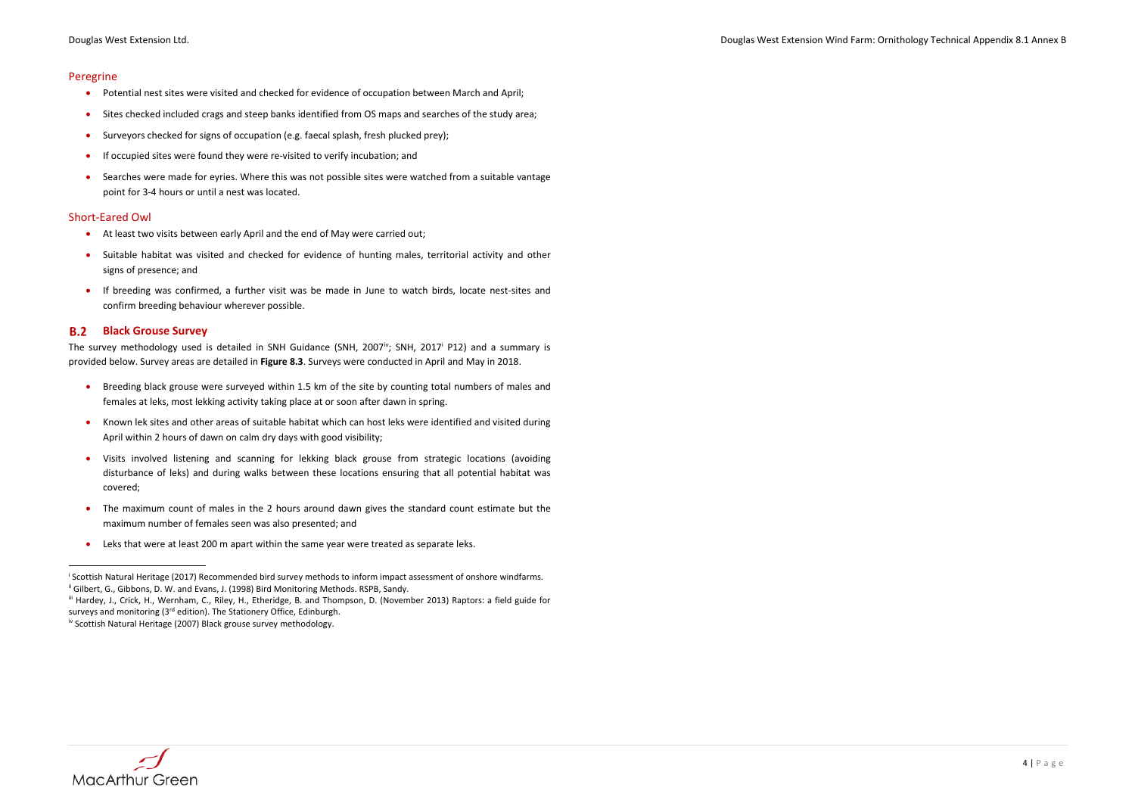#### Peregrine

- <span id="page-8-3"></span><span id="page-8-2"></span><span id="page-8-1"></span><span id="page-8-0"></span>• Potential nest sites were visited and checked for evidence of occupation between March and April;
- Sites checked included crags and steep banks identified from OS maps and searches of the study area;
- Surveyors checked for signs of occupation (e.g. faecal splash, fresh plucked prey);
- If occupied sites were found they were re-visited to verify incubation; and
- Searches were made for eyries. Where this was not possible sites were watched from a suitable vantage point for 3-4 hours or until a nest was located.

#### $B.2$ **Black Grouse Survey**

The survey methodology used is detailed in SNH Guidance (SNH, 2007<sup>iv</sup>; SNH, 2017<sup>i</sup> P12) and a summary is provided below. Survey areas are detailed in **Figure 8.3**. Surveys were conducted in April and May in 2018.

### Short-Eared Owl

- At least two visits between early April and the end of May were carried out;
- Suitable habitat was visited and checked for evidence of hunting males, territorial activity and other signs of presence; and
- If breeding was confirmed, a further visit was be made in June to watch birds, locate nest-sites and confirm breeding behaviour wherever possible.

- Breeding black grouse were surveyed within 1.5 km of the site by counting total numbers of males and females at leks, most lekking activity taking place at or soon after dawn in spring.
- Known lek sites and other areas of suitable habitat which can host leks were identified and visited during April within 2 hours of dawn on calm dry days with good visibility;
- Visits involved listening and scanning for lekking black grouse from strategic locations (avoiding disturbance of leks) and during walks between these locations ensuring that all potential habitat was covered;
- The maximum count of males in the 2 hours around dawn gives the standard count estimate but the maximum number of females seen was also presented; and
- Leks that were at least 200 m apart within the same year were treated as separate leks.



i Scottish Natural Heritage (2017) Recommended bird survey methods to inform impact assessment of onshore windfarms. <sup>ii</sup> Gilbert, G., Gibbons, D. W. and Evans, J. (1998) Bird Monitoring Methods. RSPB, Sandy.

iii Hardey, J., Crick, H., Wernham, C., Riley, H., Etheridge, B. and Thompson, D. (November 2013) Raptors: a field guide for surveys and monitoring (3<sup>rd</sup> edition). The Stationery Office, Edinburgh.

iv Scottish Natural Heritage (2007) Black grouse survey methodology.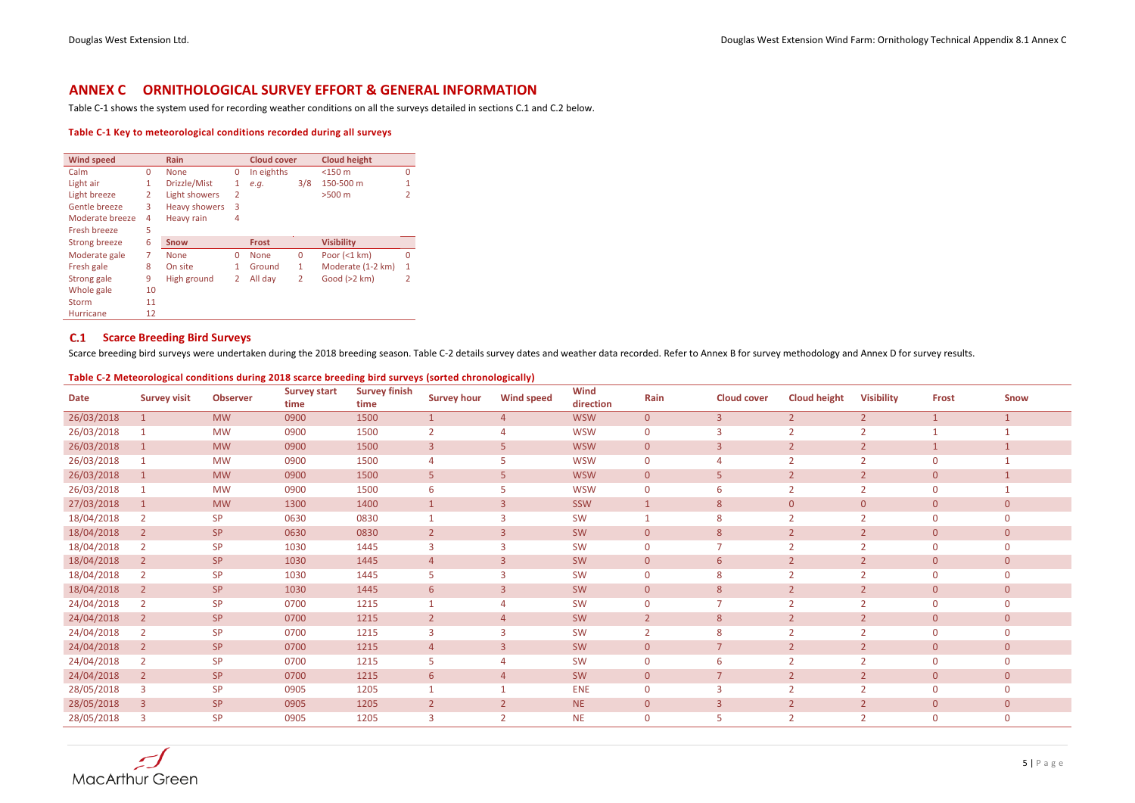# **ANNEX C ORNITHOLOGICAL SURVEY EFFORT & GENERAL INFORMATION**

[Table C-1](#page-9-0) shows the system used for recording weather conditions on all the surveys detailed in sections C.1 and C.2 below.

<span id="page-9-0"></span>**Table C-1 Key to meteorological conditions recorded during all surveys**

| <b>Wind speed</b>    |    | <b>Rain</b>          |                | <b>Cloud cover</b> |     | <b>Cloud height</b>   |              |
|----------------------|----|----------------------|----------------|--------------------|-----|-----------------------|--------------|
| Calm                 | 0  | <b>None</b>          | 0              | In eighths         |     | $<$ 150 $m$           | 0            |
| Light air            | 1  | Drizzle/Mist         | 1              | e.q.               | 3/8 | 150-500 m             | $\mathbf{1}$ |
| Light breeze         | 2  | Light showers        | $\overline{2}$ |                    |     | $>500$ m              | 2            |
| Gentle breeze        | 3  | <b>Heavy showers</b> | 3              |                    |     |                       |              |
| Moderate breeze      | 4  | Heavy rain           | 4              |                    |     |                       |              |
| Fresh breeze         | 5  |                      |                |                    |     |                       |              |
| <b>Strong breeze</b> | 6  | <b>Snow</b>          |                | <b>Frost</b>       |     | <b>Visibility</b>     |              |
| Moderate gale        | 7  | <b>None</b>          | $\Omega$       | <b>None</b>        | 0   | Poor $(1 \text{ km})$ | 0            |
| Fresh gale           | 8  | On site              | 1              | Ground             | 1   | Moderate (1-2 km)     | 1            |
| Strong gale          | 9  | High ground          | 2              | All day            | 2   | Good $(>2 km)$        | 2            |
| Whole gale           | 10 |                      |                |                    |     |                       |              |
| <b>Storm</b>         | 11 |                      |                |                    |     |                       |              |
|                      |    |                      |                |                    |     |                       |              |

## **C.1 Scarce Breeding Bird Surveys**

Scarce breeding bird surveys were undertaken during the 2018 breeding season. [Table C-2](#page-9-1) details survey dates and weather data recorded. Refer to Annex B for survey methodology and Annex D for survey results.

<span id="page-9-1"></span>**Table C-2 Meteorological conditions during 2018 scarce breeding bird surveys (sorted chronologically)**

| <b>Date</b> | <b>Survey visit</b> | <b>Observer</b> | <b>Survey start</b><br>time | <b>Survey finish</b><br>time | <b>Survey hour</b> | <b>Wind speed</b> | <b>Wind</b><br>direction | Rain           | <b>Cloud cover</b> | <b>Cloud height</b> | <b>Visibility</b> | <b>Frost</b>   | <b>Snow</b>    |
|-------------|---------------------|-----------------|-----------------------------|------------------------------|--------------------|-------------------|--------------------------|----------------|--------------------|---------------------|-------------------|----------------|----------------|
| 26/03/2018  |                     | <b>MW</b>       | 0900                        | 1500                         |                    | $\overline{4}$    | <b>WSW</b>               | $\overline{0}$ | 3 <sup>1</sup>     | $\overline{2}$      | $\overline{2}$    | $\mathbf{1}$   |                |
| 26/03/2018  |                     | <b>MW</b>       | 0900                        | 1500                         | $\overline{2}$     | 4                 | <b>WSW</b>               | 0              | 3                  | $\overline{2}$      |                   |                |                |
| 26/03/2018  |                     | <b>MW</b>       | 0900                        | 1500                         | 3                  | 5                 | <b>WSW</b>               | $\overline{0}$ | $\overline{3}$     | 2 <sup>1</sup>      | $\overline{2}$    |                |                |
| 26/03/2018  |                     | <b>MW</b>       | 0900                        | 1500                         | 4                  | 5                 | <b>WSW</b>               | $\mathbf 0$    |                    | $\overline{2}$      | $\overline{2}$    | $\overline{0}$ |                |
| 26/03/2018  |                     | <b>MW</b>       | 0900                        | 1500                         | 5                  | 5                 | <b>WSW</b>               | $\overline{0}$ | 5                  | $\overline{2}$      | $\overline{2}$    | $\mathbf{0}$   |                |
| 26/03/2018  |                     | <b>MW</b>       | 0900                        | 1500                         | 6                  | 5                 | <b>WSW</b>               | $\mathbf 0$    | 6                  | $\overline{2}$      |                   | $\mathbf 0$    |                |
| 27/03/2018  |                     | <b>MW</b>       | 1300                        | 1400                         |                    | $\overline{3}$    | SSW                      | $\mathbf{1}$   | 8                  | $\overline{0}$      | $\overline{0}$    | $\mathbf{0}$   | $\overline{0}$ |
| 18/04/2018  |                     | <b>SP</b>       | 0630                        | 0830                         |                    | 3                 | SW                       |                | 8                  | $\overline{2}$      |                   | $\overline{0}$ | $\mathbf 0$    |
| 18/04/2018  | $\overline{2}$      | <b>SP</b>       | 0630                        | 0830                         | $\overline{2}$     | $\overline{3}$    | SW                       | $\overline{0}$ | 8                  | $\overline{2}$      | $\overline{2}$    | $\mathbf{0}$   | $\overline{0}$ |
| 18/04/2018  |                     | <b>SP</b>       | 1030                        | 1445                         | 3                  | 3                 | SW                       | $\mathbf 0$    | 7                  | $\overline{2}$      |                   | $\mathbf 0$    | $\mathbf 0$    |
| 18/04/2018  |                     | <b>SP</b>       | 1030                        | 1445                         | $\overline{4}$     | $\overline{3}$    | SW                       | $\overline{0}$ | 6                  | $\overline{2}$      | $\overline{2}$    | $\mathbf{0}$   | $\overline{0}$ |
| 18/04/2018  | $\overline{2}$      | <b>SP</b>       | 1030                        | 1445                         | 5                  | 3                 | SW                       | $\mathbf 0$    | 8                  | 2                   | $\overline{2}$    | $\overline{0}$ | $\mathbf 0$    |
| 18/04/2018  | $\overline{2}$      | <b>SP</b>       | 1030                        | 1445                         | 6 <sup>1</sup>     | $\overline{3}$    | SW                       | $\overline{0}$ | 8                  | $\overline{2}$      | $\overline{2}$    | $\mathbf{0}$   | $\overline{0}$ |
| 24/04/2018  |                     | <b>SP</b>       | 0700                        | 1215                         |                    | 4                 | SW                       | $\mathbf 0$    | $\overline{7}$     | $\overline{2}$      |                   | $\overline{0}$ | 0              |
| 24/04/2018  | $\overline{2}$      | <b>SP</b>       | 0700                        | 1215                         | $\overline{2}$     | $\overline{4}$    | SW                       | $\overline{2}$ | $8\phantom{1}$     | $\overline{2}$      | $\overline{2}$    | $\mathbf{0}$   | $\overline{0}$ |
| 24/04/2018  |                     | <b>SP</b>       | 0700                        | 1215                         | 3                  | 3                 | SW                       | 2              | 8                  | $\overline{2}$      |                   | $\mathbf 0$    | $\mathbf 0$    |
| 24/04/2018  |                     | <b>SP</b>       | 0700                        | 1215                         | $\overline{4}$     | $\overline{3}$    | SW                       | $\mathbf{0}$   | $\overline{7}$     | 2 <sup>1</sup>      | $\overline{2}$    | $\mathbf{0}$   | $\overline{0}$ |
| 24/04/2018  |                     | <b>SP</b>       | 0700                        | 1215                         | 5                  | 4                 | SW                       | $\overline{0}$ | 6                  | $\overline{2}$      |                   | $\mathbf 0$    | $\mathbf 0$    |
| 24/04/2018  |                     | <b>SP</b>       | 0700                        | 1215                         | 6 <sup>1</sup>     | $\overline{4}$    | SW                       | $\overline{0}$ | $\overline{7}$     | $\overline{2}$      | $\overline{2}$    | $\mathbf{0}$   | $\overline{0}$ |
| 28/05/2018  | 3                   | <b>SP</b>       | 0905                        | 1205                         |                    | 1                 | <b>ENE</b>               | $\mathbf 0$    | $\overline{3}$     | $\overline{2}$      |                   | $\overline{0}$ | $\overline{0}$ |
| 28/05/2018  | $\overline{3}$      | <b>SP</b>       | 0905                        | 1205                         | $\overline{2}$     | $\overline{2}$    | <b>NE</b>                | $\overline{0}$ | $\overline{3}$     | $\overline{2}$      | $\overline{2}$    | $\mathbf{0}$   | $\overline{0}$ |
| 28/05/2018  |                     | <b>SP</b>       | 0905                        | 1205                         | 3                  | $\overline{2}$    | <b>NE</b>                | $\mathbf 0$    |                    | $\overline{2}$      | $\mathbf{\Omega}$ | $\Omega$       | $\overline{0}$ |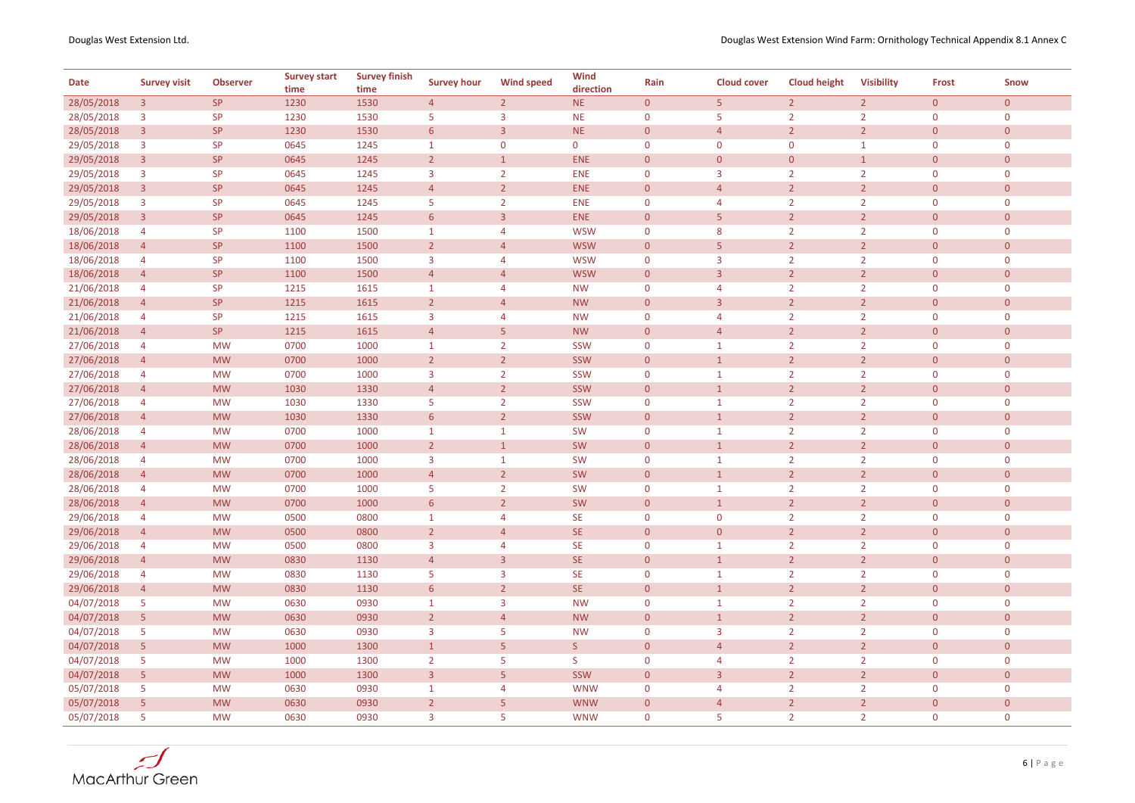# Douglas West Extension Ltd. Douglas West Extension Wind Farm: Ornithology Technical Appendix 8.1 Annex C

| <b>Date</b> | <b>Survey visit</b> | <b>Observer</b> | <b>Survey start</b><br>time | <b>Survey finish</b><br>time | <b>Survey hour</b> | <b>Wind speed</b> | <b>Wind</b><br>direction | Rain           | <b>Cloud cover</b> | <b>Cloud height</b> | <b>Visibility</b> | <b>Frost</b>   | <b>Snow</b>    |
|-------------|---------------------|-----------------|-----------------------------|------------------------------|--------------------|-------------------|--------------------------|----------------|--------------------|---------------------|-------------------|----------------|----------------|
| 28/05/2018  | $\overline{3}$      | <b>SP</b>       | 1230                        | 1530                         | $\overline{4}$     | $\overline{2}$    | NE                       | $\overline{0}$ | 5 <sub>1</sub>     | 2 <sup>1</sup>      | $\overline{2}$    | $\overline{0}$ | $\overline{0}$ |
| 28/05/2018  | $\overline{3}$      | <b>SP</b>       | 1230                        | 1530                         | 5                  | 3                 | <b>NE</b>                | $\mathbf 0$    | 5                  | $\overline{2}$      | 2                 | $\mathbf 0$    | $\mathbf 0$    |
| 28/05/2018  | $\overline{3}$      | <b>SP</b>       | 1230                        | 1530                         | $6 \overline{6}$   | $\overline{3}$    | NE                       | $\overline{0}$ | $\overline{4}$     | $\overline{2}$      | $\overline{2}$    | $\mathbf{0}$   | $\overline{0}$ |
| 29/05/2018  | $\overline{3}$      | <b>SP</b>       | 0645                        | 1245                         | 1                  | $\mathbf 0$       | $\overline{0}$           | $\mathbf 0$    | $\Omega$           | 0                   | 1                 | $\bf{0}$       | $\mathbf 0$    |
| 29/05/2018  | $\overline{3}$      | <b>SP</b>       | 0645                        | 1245                         | $\overline{2}$     | $\mathbf{1}$      | <b>ENE</b>               | $\overline{0}$ | $\mathbf{0}$       | $\overline{0}$      | $\mathbf{1}$      | $\mathbf{0}$   | $\overline{0}$ |
| 29/05/2018  | $\overline{3}$      | <b>SP</b>       | 0645                        | 1245                         | 3                  | $\overline{2}$    | <b>ENE</b>               | $\mathbf 0$    | $\overline{3}$     | $\overline{2}$      | $\overline{2}$    | $\mathbf 0$    | $\mathbf 0$    |
| 29/05/2018  | $\overline{3}$      | <b>SP</b>       | 0645                        | 1245                         | $\overline{4}$     | $\overline{2}$    | <b>ENE</b>               | $\overline{0}$ | $\overline{4}$     | 2 <sup>1</sup>      | $\overline{2}$    | $\mathbf{0}$   | $\overline{0}$ |
| 29/05/2018  | 3                   | <b>SP</b>       | 0645                        | 1245                         | 5                  | $\overline{2}$    | <b>ENE</b>               | $\mathbf 0$    | $\overline{4}$     | $\overline{2}$      | 2                 | $\bf{0}$       | 0              |
| 29/05/2018  | $\overline{3}$      | <b>SP</b>       | 0645                        | 1245                         | $6 \overline{6}$   | $\overline{3}$    | <b>ENE</b>               | $\overline{0}$ | $\overline{5}$     | 2 <sup>1</sup>      | $\overline{2}$    | $\mathbf{0}$   | $\overline{0}$ |
| 18/06/2018  | $\overline{4}$      | <b>SP</b>       | 1100                        | 1500                         | $\mathbf{1}$       | $\overline{4}$    | <b>WSW</b>               | $\mathbf 0$    | 8                  | $\overline{2}$      | $\overline{2}$    | $\bf{0}$       | 0              |
| 18/06/2018  | $\overline{4}$      | <b>SP</b>       | 1100                        | 1500                         | $\overline{2}$     | $\overline{4}$    | <b>WSW</b>               | $\mathbf{0}$   | 5                  | 2 <sup>1</sup>      | $\overline{2}$    | $\mathbf{0}$   | $\mathbf{0}$   |
| 18/06/2018  | $\overline{4}$      | <b>SP</b>       | 1100                        | 1500                         | 3                  | $\overline{4}$    | <b>WSW</b>               | $\mathbf 0$    | 3                  | $\overline{2}$      | 2                 | $\bf{0}$       | 0              |
| 18/06/2018  | $\overline{4}$      | <b>SP</b>       | 1100                        | 1500                         | $\overline{4}$     | $\overline{4}$    | <b>WSW</b>               | $\overline{0}$ | $\overline{3}$     | 2 <sup>1</sup>      | $\overline{2}$    | $\mathbf{0}$   | $\overline{0}$ |
| 21/06/2018  | $\overline{4}$      | SP              | 1215                        | 1615                         | $\mathbf{1}$       | $\overline{4}$    | <b>NW</b>                | $\mathbf 0$    | $\overline{4}$     | $\overline{2}$      | $\overline{2}$    | $\bf{0}$       | 0              |
| 21/06/2018  | $\overline{4}$      | <b>SP</b>       | 1215                        | 1615                         | $\overline{2}$     | $\overline{4}$    | <b>NW</b>                | $\overline{0}$ | $\overline{3}$     | $\overline{2}$      | $\overline{2}$    | $\mathbf{0}$   | $\overline{0}$ |
| 21/06/2018  | $\overline{4}$      | <b>SP</b>       | 1215                        | 1615                         | 3                  | $\overline{4}$    | <b>NW</b>                | $\mathbf 0$    | $\overline{4}$     | $\overline{2}$      | $\overline{2}$    | $\bf{0}$       | 0              |
| 21/06/2018  | $\overline{4}$      | <b>SP</b>       | 1215                        | 1615                         | $\overline{4}$     | $\overline{5}$    | <b>NW</b>                | $\overline{0}$ | $\overline{4}$     | 2 <sup>1</sup>      | $\overline{2}$    | $\mathbf{0}$   | $\overline{0}$ |
| 27/06/2018  | $\overline{4}$      | <b>MW</b>       | 0700                        | 1000                         | $\mathbf{1}$       | $\overline{2}$    | SSW                      | $\mathbf 0$    | $\mathbf 1$        | $\overline{2}$      | $\overline{2}$    | $\bf{0}$       | 0              |
| 27/06/2018  | $\overline{4}$      | <b>MW</b>       | 0700                        | 1000                         | $\overline{2}$     | $\overline{2}$    | <b>SSW</b>               | $\overline{0}$ | $\mathbf 1$        | $\overline{2}$      | $\overline{2}$    | $\mathbf{0}$   | $\mathbf{0}$   |
| 27/06/2018  | $\overline{4}$      | <b>MW</b>       | 0700                        | 1000                         | 3                  | $\overline{2}$    | SSW                      | $\mathbf 0$    | $\mathbf 1$        | $\overline{2}$      | $\overline{2}$    | $\mathbf 0$    | 0              |
| 27/06/2018  | $\overline{4}$      | <b>MW</b>       | 1030                        | 1330                         | $\overline{4}$     | $\overline{2}$    | <b>SSW</b>               | $\overline{0}$ | $\mathbf{1}$       | $\overline{2}$      | $\overline{2}$    | $\mathbf{0}$   | $\overline{0}$ |
| 27/06/2018  | $\overline{4}$      | <b>MW</b>       | 1030                        | 1330                         | 5                  | $\overline{2}$    | SSW                      | $\mathbf 0$    | $\mathbf 1$        | $\overline{2}$      | $\overline{2}$    | $\bf{0}$       | $\mathbf 0$    |
| 27/06/2018  | $\overline{4}$      | <b>MW</b>       | 1030                        | 1330                         | $6 \overline{6}$   | $\overline{2}$    | <b>SSW</b>               | $\overline{0}$ | $\mathbf 1$        | $\overline{2}$      | $\overline{2}$    | $\mathbf{0}$   | $\overline{0}$ |
| 28/06/2018  | $\overline{4}$      | <b>MW</b>       | 0700                        | 1000                         | 1                  |                   | SW                       | $\mathbf 0$    | $\mathbf{1}$       | $\overline{2}$      | $\overline{2}$    | $\mathbf 0$    | 0              |
| 28/06/2018  | $\overline{4}$      | <b>MW</b>       | 0700                        | 1000                         | $\overline{2}$     | $\mathbf{1}$      | SW                       | $\overline{0}$ | $\mathbf{1}$       | $\overline{2}$      | $\overline{2}$    | $\mathbf{0}$   | $\overline{0}$ |
| 28/06/2018  | $\overline{4}$      | <b>MW</b>       | 0700                        | 1000                         | 3                  | -1                | SW                       | $\mathbf 0$    | -1                 | $\overline{2}$      | $\overline{2}$    | $\bf{0}$       | $\mathbf 0$    |
| 28/06/2018  |                     | <b>MW</b>       | 0700                        | 1000                         | 4                  | $\overline{2}$    | SW                       | $\overline{0}$ | $\mathbf 1$        | $\overline{2}$      | $\overline{2}$    | $\mathbf{0}$   | $\overline{0}$ |
| 28/06/2018  |                     | <b>MW</b>       | 0700                        | 1000                         | 5                  | $\overline{2}$    | SW                       | $\mathbf 0$    | -1                 | $\overline{2}$      | $\overline{2}$    | $\Omega$       | $\mathbf 0$    |
| 28/06/2018  | $\overline{4}$      | <b>MW</b>       | 0700                        | 1000                         | $6\phantom{1}$     | $\overline{2}$    | SW                       | $\overline{0}$ | -1                 | $\overline{2}$      | $\overline{2}$    | $\mathbf{0}$   | $\overline{0}$ |
| 29/06/2018  | 4                   | <b>MW</b>       | 0500                        | 0800                         | 1                  | $\overline{4}$    | <b>SE</b>                | $\mathbf 0$    | $\mathbf 0$        | $\overline{2}$      | $\overline{2}$    | $\bf{0}$       | $\overline{0}$ |
| 29/06/2018  | $\overline{4}$      | MW              | 0500                        | 0800                         | 2 <sup>1</sup>     | $\overline{4}$    | <b>SE</b>                | $\overline{0}$ | $\overline{0}$     | 2 <sup>1</sup>      | $\overline{2}$    | $\mathbf{0}$   | $\overline{0}$ |
| 29/06/2018  | $\overline{4}$      | <b>MW</b>       | 0500                        | 0800                         | $\overline{3}$     | $\overline{4}$    | <b>SE</b>                | $\mathbf 0$    | $\mathbf{1}$       | $\overline{2}$      | $\overline{2}$    | $\bf{0}$       | 0              |
| 29/06/2018  | $\overline{4}$      | MW              | 0830                        | 1130                         | $\overline{4}$     | $\overline{3}$    | <b>SE</b>                | $\overline{0}$ | $\mathbf{1}$       | $\overline{2}$      | $\overline{2}$    | $\pmb{0}$      | $\overline{0}$ |
| 29/06/2018  | 4                   | <b>MW</b>       | 0830                        | 1130                         | 5                  | $\overline{3}$    | <b>SE</b>                | $\mathbf 0$    | $\mathbf 1$        | $\overline{2}$      | $\overline{2}$    | $\bf{0}$       | 0              |
| 29/06/2018  | $\overline{4}$      | MW              | 0830                        | 1130                         | 6 <sup>1</sup>     | $\overline{2}$    | <b>SE</b>                | $\overline{0}$ | $\mathbf{1}$       | 2 <sup>1</sup>      | $\overline{2}$    | $\mathbf{0}$   | $\overline{0}$ |
| 04/07/2018  | $\overline{5}$      | <b>MW</b>       | 0630                        | 0930                         | $\mathbf{1}$       | $\overline{3}$    | <b>NW</b>                | $\mathbf 0$    | $\mathbf{1}$       | $\overline{2}$      | $\overline{2}$    | $\bf{0}$       | 0              |
| 04/07/2018  | 5 <sub>1</sub>      | MW              | 0630                        | 0930                         | 2 <sup>1</sup>     | $\overline{4}$    | <b>NW</b>                | $\overline{0}$ | $\mathbf{1}$       | $\overline{2}$      | $\overline{2}$    | $\pmb{0}$      | $\overline{0}$ |
| 04/07/2018  | 5                   | <b>MW</b>       | 0630                        | 0930                         | 3                  | 5                 | <b>NW</b>                | $\mathbf 0$    | 3                  | $\overline{2}$      | $\overline{2}$    | $\bf{0}$       | 0              |
| 04/07/2018  | 5 <sub>o</sub>      | MW              | 1000                        | 1300                         | $\mathbf{1}$       | $\overline{5}$    | $S_{\perp}$              | $\overline{0}$ | $\overline{4}$     | 2 <sup>1</sup>      | $\overline{2}$    | $\mathbf{0}$   | $\overline{0}$ |
| 04/07/2018  | $\overline{5}$      | <b>MW</b>       | 1000                        | 1300                         | $\overline{2}$     | 5                 | S.                       | $\mathbf 0$    | 4                  | $\overline{2}$      | $\overline{2}$    | $\bf{0}$       | 0              |
| 04/07/2018  | 5 <sub>o</sub>      | MW              | 1000                        | 1300                         | $\overline{3}$     | $\overline{5}$    | SSW                      | $\overline{0}$ | $\overline{3}$     | 2 <sup>1</sup>      | $\overline{2}$    | $\pmb{0}$      | $\overline{0}$ |
| 05/07/2018  | $\overline{5}$      | <b>MW</b>       | 0630                        | 0930                         | $\mathbf{1}$       | $\overline{4}$    | <b>WNW</b>               | $\mathbf 0$    | $\overline{4}$     | $\overline{2}$      | $\overline{2}$    | $\bf{0}$       | 0              |
| 05/07/2018  | 5 <sub>o</sub>      | MW              | 0630                        | 0930                         | $\overline{2}$     | $\overline{5}$    | <b>WNW</b>               | $\overline{0}$ | $\overline{4}$     | 2 <sup>1</sup>      | $\overline{2}$    | $\mathbf{0}$   | $\overline{0}$ |
| 05/07/2018  | 5                   | <b>MW</b>       | 0630                        | 0930                         | $\overline{3}$     | 5                 | <b>WNW</b>               | $\mathbf 0$    | 5                  | 2 <sup>1</sup>      | $\overline{2}$    | $\mathbf 0$    | $\mathbf{0}$   |

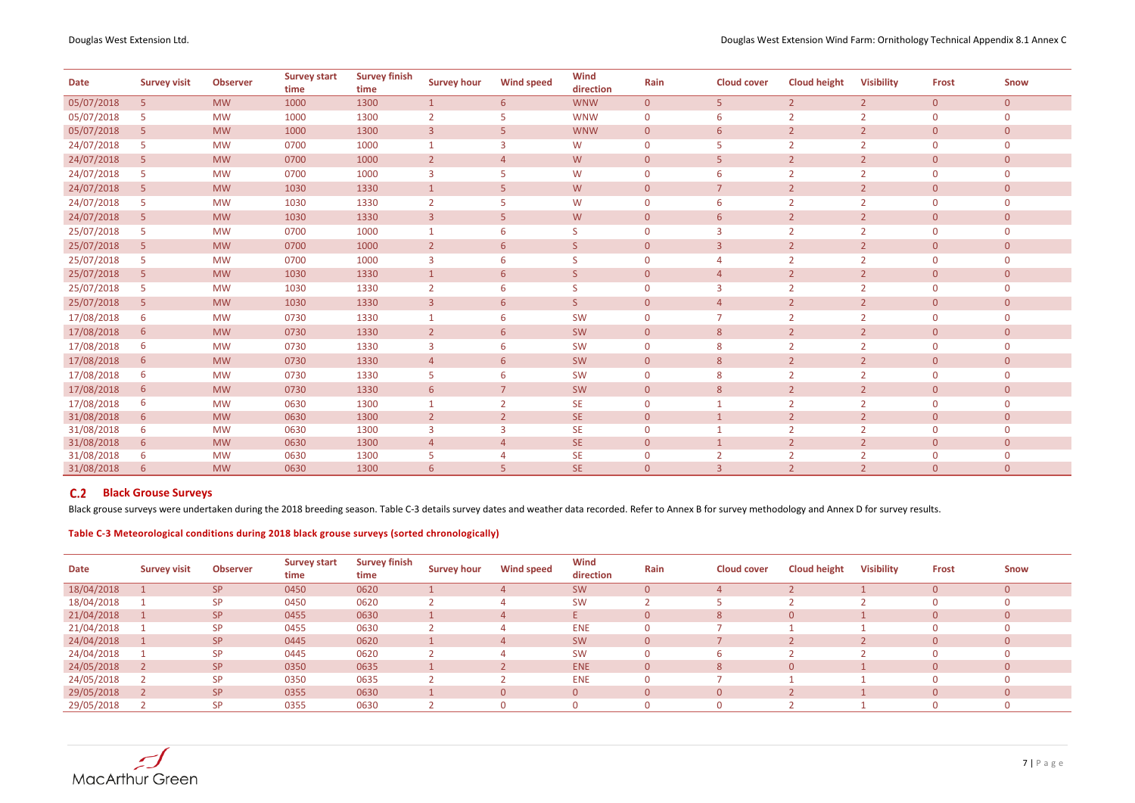# Douglas West Extension Ltd. Douglas West Extension Wind Farm: Ornithology Technical Appendix 8.1 Annex C

| <b>Date</b> | <b>Survey visit</b> | <b>Observer</b> | <b>Survey start</b><br>time | <b>Survey finish</b><br>time | <b>Survey hour</b> | <b>Wind speed</b> | <b>Wind</b><br>direction | Rain           | <b>Cloud cover</b> | <b>Cloud height</b> | <b>Visibility</b> | <b>Frost</b>   | <b>Snow</b>    |
|-------------|---------------------|-----------------|-----------------------------|------------------------------|--------------------|-------------------|--------------------------|----------------|--------------------|---------------------|-------------------|----------------|----------------|
| 05/07/2018  | 5 <sub>1</sub>      | <b>MW</b>       | 1000                        | 1300                         | $\mathbf{1}$       | 6 <sup>1</sup>    | <b>WNW</b>               | $\overline{0}$ | 5 <sub>1</sub>     | 2 <sup>1</sup>      | 2 <sup>1</sup>    | $\overline{0}$ | $\overline{0}$ |
| 05/07/2018  | 5                   | <b>MW</b>       | 1000                        | 1300                         | $\overline{2}$     | 5                 | <b>WNW</b>               | $\mathbf 0$    | 6                  | $\overline{2}$      | $\overline{2}$    | $\Omega$       | $\overline{0}$ |
| 05/07/2018  | 5                   | <b>MW</b>       | 1000                        | 1300                         | $\overline{3}$     | 5                 | <b>WNW</b>               | $\overline{0}$ | $6^{\circ}$        | 2 <sup>1</sup>      | 2 <sup>1</sup>    | $\overline{0}$ | $\overline{0}$ |
| 24/07/2018  | 5                   | <b>MW</b>       | 0700                        | 1000                         |                    | $\overline{3}$    | W                        | $\mathbf 0$    | 5                  | $\overline{2}$      | $\overline{2}$    | $\mathbf 0$    | $\overline{0}$ |
| 24/07/2018  | 5                   | <b>MW</b>       | 0700                        | 1000                         | $\overline{2}$     | 4                 | W                        | $\overline{0}$ | 5                  | 2 <sup>1</sup>      | $\overline{2}$    | $\overline{0}$ | $\overline{0}$ |
| 24/07/2018  | 5                   | <b>MW</b>       | 0700                        | 1000                         | 3                  | 5                 | W                        | $\mathbf 0$    | 6                  | $\overline{2}$      | $\overline{2}$    | $\Omega$       | 0              |
| 24/07/2018  | 5                   | <b>MW</b>       | 1030                        | 1330                         | $\mathbf{1}$       | $\overline{5}$    | W                        | $\overline{0}$ | $\overline{7}$     | 2 <sup>1</sup>      | $\overline{2}$    | $\overline{0}$ | $\overline{0}$ |
| 24/07/2018  | 5                   | <b>MW</b>       | 1030                        | 1330                         | $\overline{2}$     | 5                 | W                        | $\mathbf 0$    | 6                  | $\overline{2}$      | $\overline{2}$    | $\Omega$       | 0              |
| 24/07/2018  | 5                   | <b>MW</b>       | 1030                        | 1330                         | $\overline{3}$     | 5                 | W                        | $\overline{0}$ | $6\overline{6}$    | $\overline{2}$      | $\overline{2}$    | $\overline{0}$ | $\overline{0}$ |
| 25/07/2018  | 5                   | <b>MW</b>       | 0700                        | 1000                         | 1                  | 6                 | <sub>S</sub>             | $\mathbf 0$    | 3                  | $\overline{2}$      | $\overline{2}$    | $\mathbf 0$    | 0              |
| 25/07/2018  | 5                   | <b>MW</b>       | 0700                        | 1000                         | $\overline{2}$     | 6                 | S.                       | $\overline{0}$ | $\overline{3}$     | 2 <sup>1</sup>      | 2 <sup>1</sup>    | $\overline{0}$ | $\overline{0}$ |
| 25/07/2018  | -5                  | <b>MW</b>       | 0700                        | 1000                         | 3                  | 6                 | <sub>S</sub>             | $\mathbf 0$    | $\overline{4}$     | $\overline{2}$      | $\overline{2}$    | $\mathbf 0$    | 0              |
| 25/07/2018  | $\overline{5}$      | <b>MW</b>       | 1030                        | 1330                         | $\mathbf{1}$       | $6\phantom{1}6$   | S.                       | $\overline{0}$ | $\overline{4}$     | 2 <sup>1</sup>      | $\overline{2}$    | $\mathbf{0}$   | $\overline{0}$ |
| 25/07/2018  | 5                   | <b>MW</b>       | 1030                        | 1330                         | $\overline{2}$     | 6                 | S                        | $\mathbf 0$    | 3                  | $\overline{2}$      | $\overline{2}$    | $\Omega$       | $\overline{0}$ |
| 25/07/2018  | 5                   | <b>MW</b>       | 1030                        | 1330                         | $\overline{3}$     | 6                 | S.                       | $\overline{0}$ | $\overline{4}$     | 2 <sup>1</sup>      | $\overline{2}$    | $\mathbf{0}$   | $\overline{0}$ |
| 17/08/2018  | 6                   | <b>MW</b>       | 0730                        | 1330                         | $\mathbf{1}$       | 6                 | SW                       | $\overline{0}$ | $\overline{7}$     | $\overline{2}$      | $\overline{2}$    | $\overline{0}$ | 0              |
| 17/08/2018  | $6\overline{6}$     | <b>MW</b>       | 0730                        | 1330                         | $\overline{2}$     | 6                 | SW                       | $\overline{0}$ | 8                  | 2 <sup>1</sup>      | 2 <sup>1</sup>    | $\overline{0}$ | $\overline{0}$ |
| 17/08/2018  | 6                   | <b>MW</b>       | 0730                        | 1330                         | 3                  | 6                 | SW                       | $\mathbf 0$    | 8                  | $\overline{2}$      | $\overline{2}$    | $\mathbf 0$    | $\Omega$       |
| 17/08/2018  | 6                   | <b>MW</b>       | 0730                        | 1330                         | $\overline{4}$     | 6                 | SW                       | $\overline{0}$ | 8                  | 2 <sup>2</sup>      | $\overline{2}$    | $\mathbf{0}$   | $\overline{0}$ |
| 17/08/2018  | 6                   | <b>MW</b>       | 0730                        | 1330                         | 5                  | 6                 | SW                       | $\mathbf{0}$   | 8                  | $\overline{2}$      | $\overline{2}$    | $\Omega$       | 0              |
| 17/08/2018  | 6                   | <b>MW</b>       | 0730                        | 1330                         | 6 <sup>1</sup>     | $\overline{7}$    | SW                       | $\overline{0}$ | $\boldsymbol{8}$   | $\overline{2}$      | $\overline{2}$    | $\overline{0}$ | $\overline{0}$ |
| 17/08/2018  | 6                   | <b>MW</b>       | 0630                        | 1300                         | 1                  | $\overline{2}$    | <b>SE</b>                | $\overline{0}$ |                    | $\overline{2}$      | $\overline{2}$    | $\Omega$       | 0              |
| 31/08/2018  | 6                   | <b>MW</b>       | 0630                        | 1300                         | $\overline{2}$     | $\overline{2}$    | <b>SE</b>                | $\overline{0}$ | $\mathbf{1}$       | 2 <sup>1</sup>      | 2 <sup>1</sup>    | $\overline{0}$ | $\overline{0}$ |
| 31/08/2018  | 6                   | <b>MW</b>       | 0630                        | 1300                         | $\overline{3}$     | 3                 | <b>SE</b>                | $\mathbf 0$    | -1                 | $\overline{2}$      | $\overline{2}$    | $\Omega$       | 0              |
| 31/08/2018  | $6^{\circ}$         | <b>MW</b>       | 0630                        | 1300                         | $\overline{4}$     | $\overline{4}$    | <b>SE</b>                | $\overline{0}$ | $\mathbf{1}$       | $\overline{2}$      | $\overline{2}$    | $\overline{0}$ | $\overline{0}$ |
| 31/08/2018  | 6                   | <b>MW</b>       | 0630                        | 1300                         | 5                  | 4                 | <b>SE</b>                | $\mathbf{0}$   | $\overline{2}$     | $\overline{2}$      | $\overline{2}$    | $\Omega$       | 0              |
| 31/08/2018  | 6                   | <b>MW</b>       | 0630                        | 1300                         | 6                  | 5                 | <b>SE</b>                | $\overline{0}$ | $\overline{3}$     | $\overline{2}$      | $\overline{2}$    | $\Omega$       | $\Omega$       |

# **Black Grouse Surveys**

Black grouse surveys were undertaken during the 2018 breeding season[. Table C-3](#page-11-0) details survey dates and weather data recorded. Refer to Annex B for survey methodology and Annex D for survey results.

### <span id="page-11-0"></span>**Table C-3 Meteorological conditions during 2018 black grouse surveys (sorted chronologically)**

| <b>Date</b> | <b>Survey visit</b> | <b>Observer</b> | <b>Survey start</b><br>time | <b>Survey finish</b><br>time | <b>Survey hour</b> | <b>Wind speed</b> | <b>Wind</b><br>direction | Rain           | <b>Cloud cover</b> | <b>Cloud height</b> | <b>Visibility</b> | <b>Frost</b> | <b>Snow</b>    |
|-------------|---------------------|-----------------|-----------------------------|------------------------------|--------------------|-------------------|--------------------------|----------------|--------------------|---------------------|-------------------|--------------|----------------|
| 18/04/2018  |                     | <b>SP</b>       | 0450                        | 0620                         |                    |                   | SW                       | $\Omega$       |                    |                     |                   | $\Omega$     |                |
| 18/04/2018  |                     | <b>SP</b>       | 0450                        | 0620                         |                    |                   | <b>SW</b>                |                |                    |                     |                   |              |                |
| 21/04/2018  |                     | <b>SP</b>       | 0455                        | 0630                         |                    |                   |                          | $\overline{0}$ | 8                  | 0                   |                   | $\Omega$     | 0              |
| 21/04/2018  |                     | <b>SP</b>       | 0455                        | 0630                         |                    |                   | <b>ENE</b>               |                |                    |                     |                   |              |                |
| 24/04/2018  |                     | <b>SP</b>       | 0445                        | 0620                         |                    |                   | <b>SW</b>                | $\overline{0}$ |                    |                     |                   | $\Omega$     | $\overline{0}$ |
| 24/04/2018  |                     | <b>SP</b>       | 0445                        | 0620                         |                    |                   | <b>SW</b>                |                |                    |                     |                   |              |                |
| 24/05/2018  |                     | <b>SP</b>       | 0350                        | 0635                         |                    |                   | <b>ENE</b>               | $\overline{0}$ | 8                  | 0                   |                   | $\Omega$     | $\overline{0}$ |
| 24/05/2018  |                     | <b>SP</b>       | 0350                        | 0635                         |                    |                   | <b>ENE</b>               |                |                    |                     |                   |              |                |
| 29/05/2018  |                     | <b>SP</b>       | 0355                        | 0630                         |                    | $\overline{0}$    | 0 <sup>1</sup>           | $\Omega$       | $\mathbf 0$        |                     |                   | $\Omega$     | $\overline{0}$ |
| 29/05/2018  |                     | <b>SP</b>       | 0355                        | 0630                         |                    |                   |                          |                |                    |                     |                   |              |                |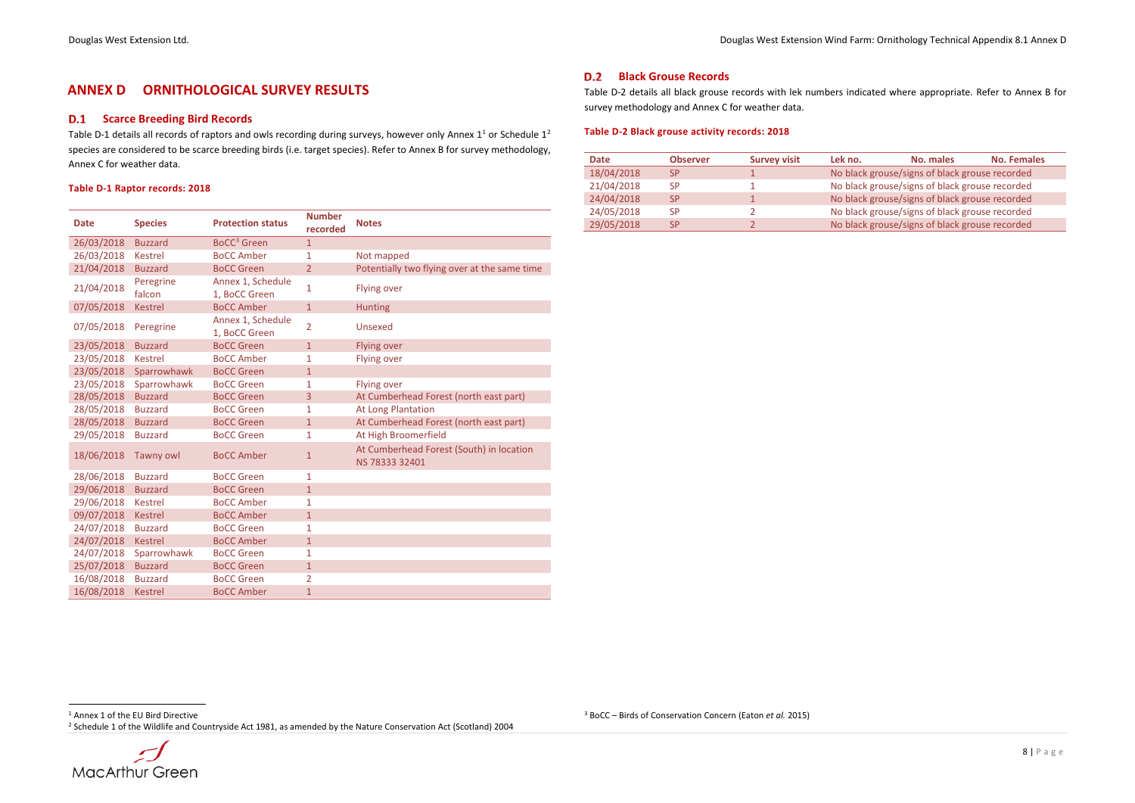# **ANNEX D ORNITHOLOGICAL SURVEY RESULTS**

## **D.1 Scarce Breeding Bird Records**

[Table D-1](#page-12-0) details all records of raptors and owls recording during surveys, however only Annex  $1^1$  $1^1$  or Schedule  $1^2$  $1^2$ species are considered to be scarce breeding birds (i.e. target species). Refer to Annex B for survey methodology, Annex C for weather data.

#### <span id="page-12-0"></span>**Table D-1 Raptor records: 2018**

 1 Annex 1 of the EU Bird Directive <sup>2</sup> Schedule 1 of the Wildlife and Countryside Act 1981, as amended by the Nature Conservation Act (Scotland) 2004



| <b>Date</b> | <b>Species</b>      | <b>Protection status</b>           | <b>Number</b><br>recorded | <b>Notes</b>                                               |
|-------------|---------------------|------------------------------------|---------------------------|------------------------------------------------------------|
| 26/03/2018  | <b>Buzzard</b>      | <b>BoCC<sup>3</sup></b> Green      | $\mathbf{1}$              |                                                            |
| 26/03/2018  | <b>Kestrel</b>      | <b>BoCC Amber</b>                  | $\mathbf{1}$              | Not mapped                                                 |
| 21/04/2018  | <b>Buzzard</b>      | <b>BoCC Green</b>                  | $\overline{2}$            | Potentially two flying over at the same time               |
| 21/04/2018  | Peregrine<br>falcon | Annex 1, Schedule<br>1, BoCC Green | $\mathbf{1}$              | <b>Flying over</b>                                         |
| 07/05/2018  | <b>Kestrel</b>      | <b>BoCC Amber</b>                  | $\mathbf{1}$              | <b>Hunting</b>                                             |
| 07/05/2018  | Peregrine           | Annex 1, Schedule<br>1, BoCC Green | $\overline{2}$            | Unsexed                                                    |
| 23/05/2018  | <b>Buzzard</b>      | <b>BoCC Green</b>                  | $\mathbf{1}$              | Flying over                                                |
| 23/05/2018  | <b>Kestrel</b>      | <b>BoCC Amber</b>                  | 1                         | <b>Flying over</b>                                         |
| 23/05/2018  | Sparrowhawk         | <b>BoCC Green</b>                  | $\mathbf{1}$              |                                                            |
| 23/05/2018  | Sparrowhawk         | <b>BoCC Green</b>                  | 1                         | <b>Flying over</b>                                         |
| 28/05/2018  | <b>Buzzard</b>      | <b>BoCC Green</b>                  | 3                         | At Cumberhead Forest (north east part)                     |
| 28/05/2018  | <b>Buzzard</b>      | <b>BoCC Green</b>                  | $\mathbf{1}$              | <b>At Long Plantation</b>                                  |
| 28/05/2018  | <b>Buzzard</b>      | <b>BoCC Green</b>                  | $\mathbf{1}$              | At Cumberhead Forest (north east part)                     |
| 29/05/2018  | <b>Buzzard</b>      | <b>BoCC Green</b>                  | 1                         | At High Broomerfield                                       |
| 18/06/2018  | Tawny owl           | <b>BoCC Amber</b>                  | $\mathbf{1}$              | At Cumberhead Forest (South) in location<br>NS 78333 32401 |
| 28/06/2018  | <b>Buzzard</b>      | <b>BoCC Green</b>                  | $\mathbf{1}$              |                                                            |
| 29/06/2018  | <b>Buzzard</b>      | <b>BoCC Green</b>                  | $\mathbf{1}$              |                                                            |
| 29/06/2018  | <b>Kestrel</b>      | <b>BoCC Amber</b>                  | 1                         |                                                            |
| 09/07/2018  | <b>Kestrel</b>      | <b>BoCC Amber</b>                  | $\mathbf{1}$              |                                                            |
| 24/07/2018  | <b>Buzzard</b>      | <b>BoCC Green</b>                  | 1                         |                                                            |
| 24/07/2018  | <b>Kestrel</b>      | <b>BoCC Amber</b>                  | $\mathbf{1}$              |                                                            |
| 24/07/2018  | Sparrowhawk         | <b>BoCC Green</b>                  | 1                         |                                                            |
| 25/07/2018  | <b>Buzzard</b>      | <b>BoCC Green</b>                  | $\mathbf{1}$              |                                                            |
| 16/08/2018  | <b>Buzzard</b>      | <b>BoCC Green</b>                  | $\overline{2}$            |                                                            |
| 16/08/2018  | <b>Kestrel</b>      | <b>BoCC Amber</b>                  | 1                         |                                                            |

## <span id="page-12-3"></span><span id="page-12-2"></span>**Black Grouse Records**

[Table D-2](#page-12-1) details all black grouse records with lek numbers indicated where appropriate. Refer to Annex B for survey methodology and Annex C for weather data.

### <span id="page-12-1"></span>**Table D-2 Black grouse activity records: 2018**

| <b>Date</b> | <b>Observer</b> | <b>Survey visit</b> | Lek no.                                        | <b>No. males</b>                               | <b>No. Females</b> |  |  |  |
|-------------|-----------------|---------------------|------------------------------------------------|------------------------------------------------|--------------------|--|--|--|
| 18/04/2018  | <b>SP</b>       |                     |                                                | No black grouse/signs of black grouse recorded |                    |  |  |  |
| 21/04/2018  | <b>SP</b>       |                     | No black grouse/signs of black grouse recorded |                                                |                    |  |  |  |
| 24/04/2018  | <b>SP</b>       |                     |                                                | No black grouse/signs of black grouse recorded |                    |  |  |  |
| 24/05/2018  | <b>SP</b>       |                     | No black grouse/signs of black grouse recorded |                                                |                    |  |  |  |
| 29/05/2018  | <b>SP</b>       |                     |                                                | No black grouse/signs of black grouse recorded |                    |  |  |  |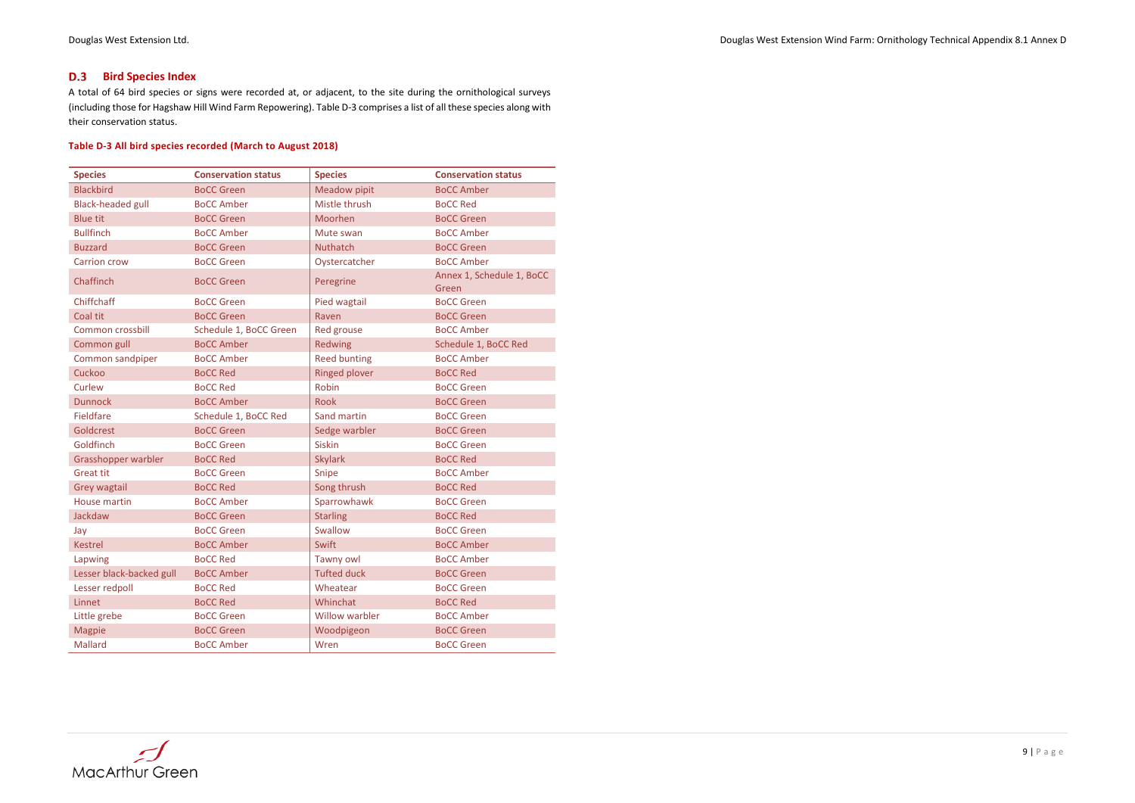#### **D.3 Bird Species Index**

A total of 64 bird species or signs were recorded at, or adjacent, to the site during the ornithological surveys (including those for Hagshaw Hill Wind Farm Repowering). [Table D-3](#page-13-0) comprises a list of all these species along with their conservation status.

#### <span id="page-13-0"></span>**Table D-3 All bird species recorded (March to August 2018)**

| <b>Species</b>             | <b>Conservation status</b> | <b>Species</b>        | <b>Conservation status</b>         |
|----------------------------|----------------------------|-----------------------|------------------------------------|
| <b>Blackbird</b>           | <b>BoCC Green</b>          | <b>Meadow pipit</b>   | <b>BoCC Amber</b>                  |
| <b>Black-headed gull</b>   | <b>BoCC Amber</b>          | Mistle thrush         | <b>BoCC Red</b>                    |
| <b>Blue tit</b>            | <b>BoCC Green</b>          | Moorhen               | <b>BoCC Green</b>                  |
| <b>Bullfinch</b>           | <b>BoCC Amber</b>          | Mute swan             | <b>BoCC Amber</b>                  |
| <b>Buzzard</b>             | <b>BoCC Green</b>          | <b>Nuthatch</b>       | <b>BoCC Green</b>                  |
| <b>Carrion crow</b>        | <b>BoCC Green</b>          | Oystercatcher         | <b>BoCC Amber</b>                  |
| Chaffinch                  | <b>BoCC Green</b>          | Peregrine             | Annex 1, Schedule 1, BoCC<br>Green |
| <b>Chiffchaff</b>          | <b>BoCC Green</b>          | Pied wagtail          | <b>BoCC Green</b>                  |
| Coal tit                   | <b>BoCC Green</b>          | Raven                 | <b>BoCC Green</b>                  |
| Common crossbill           | Schedule 1, BoCC Green     | <b>Red grouse</b>     | <b>BoCC Amber</b>                  |
| Common gull                | <b>BoCC Amber</b>          | Redwing               | Schedule 1, BoCC Red               |
| Common sandpiper           | <b>BoCC Amber</b>          | <b>Reed bunting</b>   | <b>BoCC Amber</b>                  |
| Cuckoo                     | <b>BoCC Red</b>            | <b>Ringed plover</b>  | <b>BoCC Red</b>                    |
| Curlew                     | <b>BoCC Red</b>            | Robin                 | <b>BoCC Green</b>                  |
| <b>Dunnock</b>             | <b>BoCC Amber</b>          | <b>Rook</b>           | <b>BoCC Green</b>                  |
| <b>Fieldfare</b>           | Schedule 1, BoCC Red       | Sand martin           | <b>BoCC Green</b>                  |
| Goldcrest                  | <b>BoCC Green</b>          | Sedge warbler         | <b>BoCC Green</b>                  |
| Goldfinch                  | <b>BoCC Green</b>          | <b>Siskin</b>         | <b>BoCC Green</b>                  |
| <b>Grasshopper warbler</b> | <b>BoCC Red</b>            | <b>Skylark</b>        | <b>BoCC Red</b>                    |
| <b>Great tit</b>           | <b>BoCC Green</b>          | Snipe                 | <b>BoCC Amber</b>                  |
| <b>Grey wagtail</b>        | <b>BoCC Red</b>            | Song thrush           | <b>BoCC Red</b>                    |
| <b>House martin</b>        | <b>BoCC Amber</b>          | Sparrowhawk           | <b>BoCC Green</b>                  |
| Jackdaw                    | <b>BoCC Green</b>          | <b>Starling</b>       | <b>BoCC Red</b>                    |
| Jay                        | <b>BoCC Green</b>          | Swallow               | <b>BoCC Green</b>                  |
| <b>Kestrel</b>             | <b>BoCC Amber</b>          | Swift                 | <b>BoCC Amber</b>                  |
| Lapwing                    | <b>BoCC Red</b>            | <b>Tawny owl</b>      | <b>BoCC Amber</b>                  |
| Lesser black-backed gull   | <b>BoCC Amber</b>          | <b>Tufted duck</b>    | <b>BoCC Green</b>                  |
| Lesser redpoll             | <b>BoCC Red</b>            | Wheatear              | <b>BoCC Green</b>                  |
| Linnet                     | <b>BoCC Red</b>            | Whinchat              | <b>BoCC Red</b>                    |
| Little grebe               | <b>BoCC Green</b>          | <b>Willow warbler</b> | <b>BoCC Amber</b>                  |
| <b>Magpie</b>              | <b>BoCC Green</b>          | Woodpigeon            | <b>BoCC Green</b>                  |
| <b>Mallard</b>             | <b>BoCC Amber</b>          | Wren                  | <b>BoCC Green</b>                  |

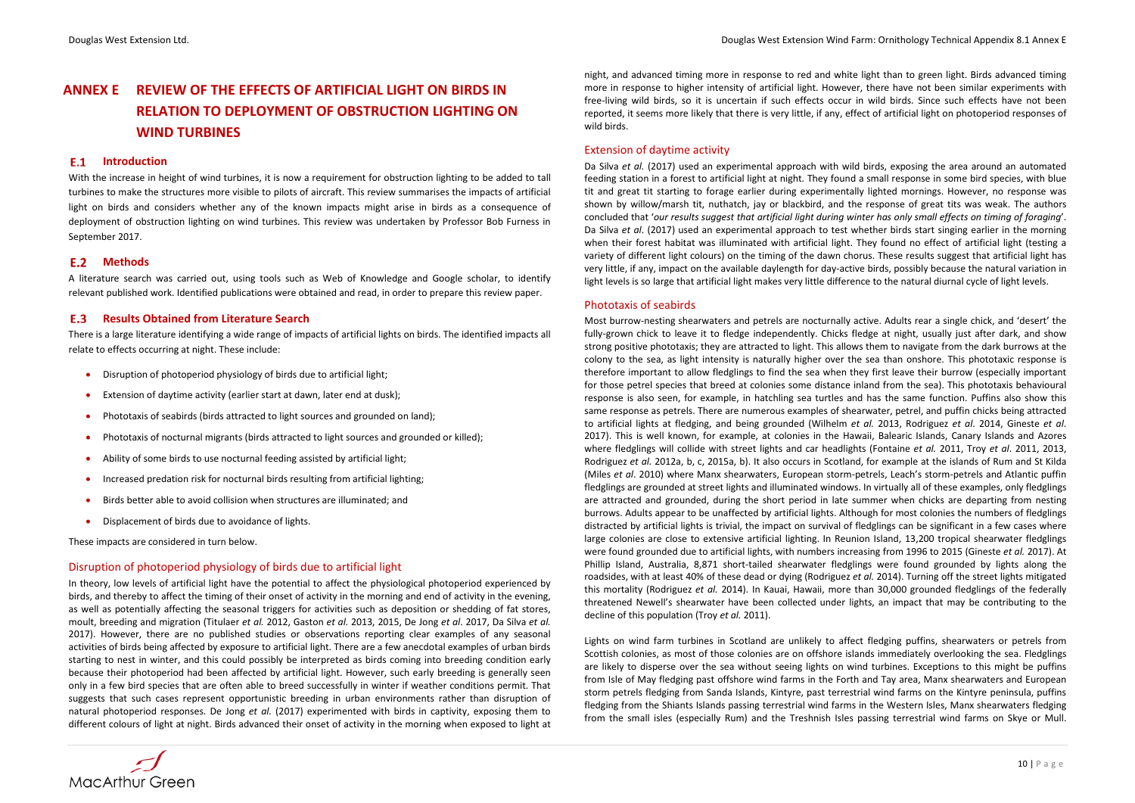#### Douglas West Extension Ltd. Douglas West Extension Wind Farm: Ornithology Technical Appendix 8.1 Annex E

# **ANNEX E REVIEW OF THE EFFECTS OF ARTIFICIAL LIGHT ON BIRDS IN RELATION TO DEPLOYMENT OF OBSTRUCTION LIGHTING ON WIND TURBINES**

### **E.1** Introduction

#### **Results Obtained from Literature Search**  $E.3$

With the increase in height of wind turbines, it is now a requirement for obstruction lighting to be added to tall turbines to make the structures more visible to pilots of aircraft. This review summarises the impacts of artificial light on birds and considers whether any of the known impacts might arise in birds as a consequence of deployment of obstruction lighting on wind turbines. This review was undertaken by Professor Bob Furness in September 2017.

## **Methods**

A literature search was carried out, using tools such as Web of Knowledge and Google scholar, to identify relevant published work. Identified publications were obtained and read, in order to prepare this review paper.

There is a large literature identifying a wide range of impacts of artificial lights on birds. The identified impacts all relate to effects occurring at night. These include:

- Disruption of photoperiod physiology of birds due to artificial light;
- Extension of daytime activity (earlier start at dawn, later end at dusk);
- Phototaxis of seabirds (birds attracted to light sources and grounded on land);
- Phototaxis of nocturnal migrants (birds attracted to light sources and grounded or killed);
- Ability of some birds to use nocturnal feeding assisted by artificial light;
- Increased predation risk for nocturnal birds resulting from artificial lighting;
- Birds better able to avoid collision when structures are illuminated; and
- Displacement of birds due to avoidance of lights.

These impacts are considered in turn below.

# Disruption of photoperiod physiology of birds due to artificial light

In theory, low levels of artificial light have the potential to affect the physiological photoperiod experienced by birds, and thereby to affect the timing of their onset of activity in the morning and end of activity in the evening, as well as potentially affecting the seasonal triggers for activities such as deposition or shedding of fat stores, moult, breeding and migration (Titulaer *et al.* 2012, Gaston *et al.* 2013, 2015, De Jong *et al*. 2017, Da Silva *et al.* 2017). However, there are no published studies or observations reporting clear examples of any seasonal activities of birds being affected by exposure to artificial light. There are a few anecdotal examples of urban birds starting to nest in winter, and this could possibly be interpreted as birds coming into breeding condition early because their photoperiod had been affected by artificial light. However, such early breeding is generally seen only in a few bird species that are often able to breed successfully in winter if weather conditions permit. That suggests that such cases represent opportunistic breeding in urban environments rather than disruption of natural photoperiod responses. De Jong *et al.* (2017) experimented with birds in captivity, exposing them to different colours of light at night. Birds advanced their onset of activity in the morning when exposed to light at



night, and advanced timing more in response to red and white light than to green light. Birds advanced timing more in response to higher intensity of artificial light. However, there have not been similar experiments with free-living wild birds, so it is uncertain if such effects occur in wild birds. Since such effects have not been reported, it seems more likely that there is very little, if any, effect of artificial light on photoperiod responses of wild birds.

### Extension of daytime activity

Da Silva *et al.* (2017) used an experimental approach with wild birds, exposing the area around an automated feeding station in a forest to artificial light at night. They found a small response in some bird species, with blue tit and great tit starting to forage earlier during experimentally lighted mornings. However, no response was shown by willow/marsh tit, nuthatch, jay or blackbird, and the response of great tits was weak. The authors concluded that '*our results suggest that artificial light during winter has only small effects on timing of foraging*'. Da Silva *et al*. (2017) used an experimental approach to test whether birds start singing earlier in the morning when their forest habitat was illuminated with artificial light. They found no effect of artificial light (testing a variety of different light colours) on the timing of the dawn chorus. These results suggest that artificial light has very little, if any, impact on the available daylength for day-active birds, possibly because the natural variation in light levels is so large that artificial light makes very little difference to the natural diurnal cycle of light levels.

### Phototaxis of seabirds

Most burrow-nesting shearwaters and petrels are nocturnally active. Adults rear a single chick, and 'desert' the fully-grown chick to leave it to fledge independently. Chicks fledge at night, usually just after dark, and show strong positive phototaxis; they are attracted to light. This allows them to navigate from the dark burrows at the colony to the sea, as light intensity is naturally higher over the sea than onshore. This phototaxic response is therefore important to allow fledglings to find the sea when they first leave their burrow (especially important for those petrel species that breed at colonies some distance inland from the sea). This phototaxis behavioural response is also seen, for example, in hatchling sea turtles and has the same function. Puffins also show this same response as petrels. There are numerous examples of shearwater, petrel, and puffin chicks being attracted to artificial lights at fledging, and being grounded (Wilhelm *et al.* 2013, Rodriguez *et al*. 2014, Gineste *et al*. 2017). This is well known, for example, at colonies in the Hawaii, Balearic Islands, Canary Islands and Azores where fledglings will collide with street lights and car headlights (Fontaine *et al.* 2011, Troy *et al*. 2011, 2013, Rodriguez *et al.* 2012a, b, c, 2015a, b). It also occurs in Scotland, for example at the islands of Rum and St Kilda (Miles *et al*. 2010) where Manx shearwaters, European storm-petrels, Leach's storm-petrels and Atlantic puffin fledglings are grounded at street lights and illuminated windows. In virtually all of these examples, only fledglings are attracted and grounded, during the short period in late summer when chicks are departing from nesting burrows. Adults appear to be unaffected by artificial lights. Although for most colonies the numbers of fledglings distracted by artificial lights is trivial, the impact on survival of fledglings can be significant in a few cases where large colonies are close to extensive artificial lighting. In Reunion Island, 13,200 tropical shearwater fledglings were found grounded due to artificial lights, with numbers increasing from 1996 to 2015 (Gineste *et al.* 2017). At Phillip Island, Australia, 8,871 short-tailed shearwater fledglings were found grounded by lights along the roadsides, with at least 40% of these dead or dying (Rodriguez *et al.* 2014). Turning off the street lights mitigated this mortality (Rodriguez *et al.* 2014). In Kauai, Hawaii, more than 30,000 grounded fledglings of the federally threatened Newell's shearwater have been collected under lights, an impact that may be contributing to the decline of this population (Troy *et al.* 2011).

Lights on wind farm turbines in Scotland are unlikely to affect fledging puffins, shearwaters or petrels from Scottish colonies, as most of those colonies are on offshore islands immediately overlooking the sea. Fledglings are likely to disperse over the sea without seeing lights on wind turbines. Exceptions to this might be puffins from Isle of May fledging past offshore wind farms in the Forth and Tay area, Manx shearwaters and European storm petrels fledging from Sanda Islands, Kintyre, past terrestrial wind farms on the Kintyre peninsula, puffins fledging from the Shiants Islands passing terrestrial wind farms in the Western Isles, Manx shearwaters fledging from the small isles (especially Rum) and the Treshnish Isles passing terrestrial wind farms on Skye or Mull.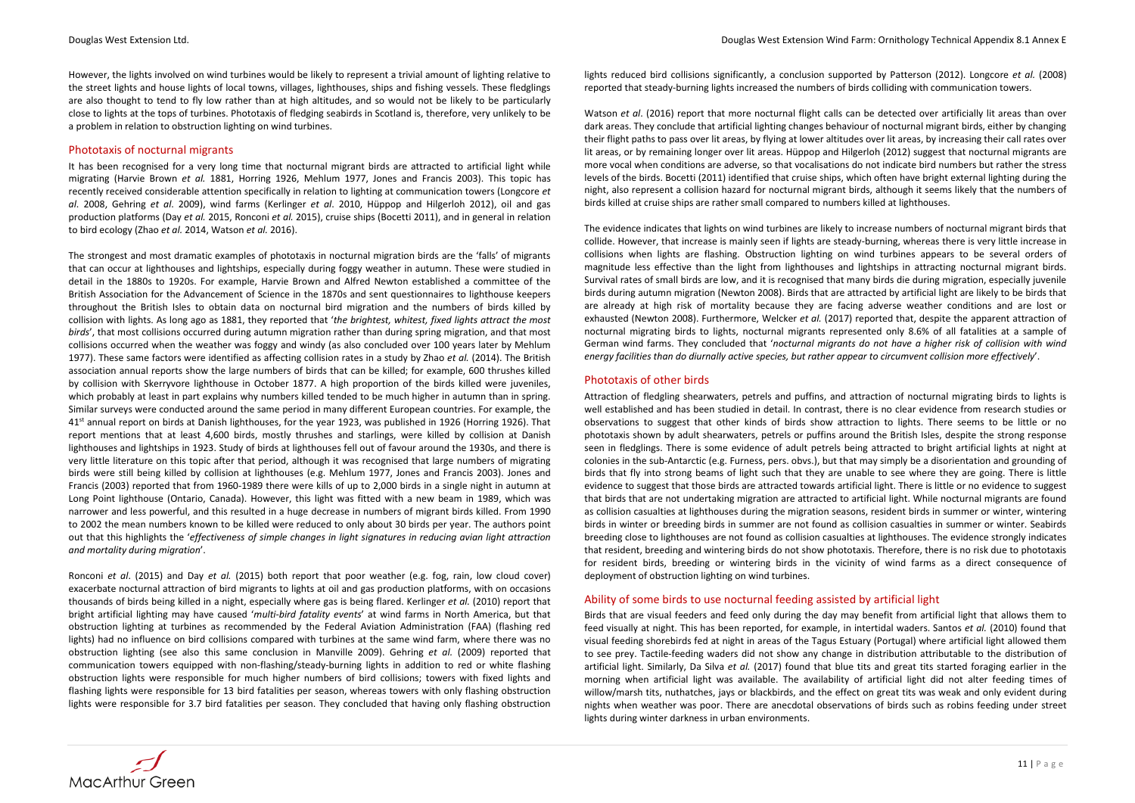However, the lights involved on wind turbines would be likely to represent a trivial amount of lighting relative to the street lights and house lights of local towns, villages, lighthouses, ships and fishing vessels. These fledglings are also thought to tend to fly low rather than at high altitudes, and so would not be likely to be particularly close to lights at the tops of turbines. Phototaxis of fledging seabirds in Scotland is, therefore, very unlikely to be a problem in relation to obstruction lighting on wind turbines.

## Phototaxis of nocturnal migrants

It has been recognised for a very long time that nocturnal migrant birds are attracted to artificial light while migrating (Harvie Brown *et al.* 1881, Horring 1926, Mehlum 1977, Jones and Francis 2003). This topic has recently received considerable attention specifically in relation to lighting at communication towers (Longcore *et al*. 2008, Gehring *et al*. 2009), wind farms (Kerlinger *et al*. 2010, Hüppop and Hilgerloh 2012), oil and gas production platforms (Day *et al.* 2015, Ronconi *et al.* 2015), cruise ships (Bocetti 2011), and in general in relation to bird ecology (Zhao *et al.* 2014, Watson *et al.* 2016).

The strongest and most dramatic examples of phototaxis in nocturnal migration birds are the 'falls' of migrants that can occur at lighthouses and lightships, especially during foggy weather in autumn. These were studied in detail in the 1880s to 1920s. For example, Harvie Brown and Alfred Newton established a committee of the British Association for the Advancement of Science in the 1870s and sent questionnaires to lighthouse keepers throughout the British Isles to obtain data on nocturnal bird migration and the numbers of birds killed by collision with lights. As long ago as 1881, they reported that '*the brightest, whitest, fixed lights attract the most birds*', that most collisions occurred during autumn migration rather than during spring migration, and that most collisions occurred when the weather was foggy and windy (as also concluded over 100 years later by Mehlum 1977). These same factors were identified as affecting collision rates in a study by Zhao *et al.* (2014). The British association annual reports show the large numbers of birds that can be killed; for example, 600 thrushes killed by collision with Skerryvore lighthouse in October 1877. A high proportion of the birds killed were juveniles, which probably at least in part explains why numbers killed tended to be much higher in autumn than in spring. Similar surveys were conducted around the same period in many different European countries. For example, the 41<sup>st</sup> annual report on birds at Danish lighthouses, for the year 1923, was published in 1926 (Horring 1926). That report mentions that at least 4,600 birds, mostly thrushes and starlings, were killed by collision at Danish lighthouses and lightships in 1923. Study of birds at lighthouses fell out of favour around the 1930s, and there is very little literature on this topic after that period, although it was recognised that large numbers of migrating birds were still being killed by collision at lighthouses (e.g. Mehlum 1977, Jones and Francis 2003). Jones and Francis (2003) reported that from 1960-1989 there were kills of up to 2,000 birds in a single night in autumn at Long Point lighthouse (Ontario, Canada). However, this light was fitted with a new beam in 1989, which was narrower and less powerful, and this resulted in a huge decrease in numbers of migrant birds killed. From 1990 to 2002 the mean numbers known to be killed were reduced to only about 30 birds per year. The authors point out that this highlights the '*effectiveness of simple changes in light signatures in reducing avian light attraction and mortality during migration*'.

Ronconi *et al*. (2015) and Day *et al.* (2015) both report that poor weather (e.g. fog, rain, low cloud cover) exacerbate nocturnal attraction of bird migrants to lights at oil and gas production platforms, with on occasions thousands of birds being killed in a night, especially where gas is being flared. Kerlinger *et al.* (2010) report that bright artificial lighting may have caused '*multi-bird fatality events*' at wind farms in North America, but that obstruction lighting at turbines as recommended by the Federal Aviation Administration (FAA) (flashing red lights) had no influence on bird collisions compared with turbines at the same wind farm, where there was no obstruction lighting (see also this same conclusion in Manville 2009). Gehring *et al.* (2009) reported that communication towers equipped with non-flashing/steady-burning lights in addition to red or white flashing obstruction lights were responsible for much higher numbers of bird collisions; towers with fixed lights and flashing lights were responsible for 13 bird fatalities per season, whereas towers with only flashing obstruction lights were responsible for 3.7 bird fatalities per season. They concluded that having only flashing obstruction



Watson *et al*. (2016) report that more nocturnal flight calls can be detected over artificially lit areas than over dark areas. They conclude that artificial lighting changes behaviour of nocturnal migrant birds, either by changing their flight paths to pass over lit areas, by flying at lower altitudes over lit areas, by increasing their call rates over lit areas, or by remaining longer over lit areas. Hüppop and Hilgerloh (2012) suggest that nocturnal migrants are more vocal when conditions are adverse, so that vocalisations do not indicate bird numbers but rather the stress levels of the birds. Bocetti (2011) identified that cruise ships, which often have bright external lighting during the night, also represent a collision hazard for nocturnal migrant birds, although it seems likely that the numbers of birds killed at cruise ships are rather small compared to numbers killed at lighthouses.

The evidence indicates that lights on wind turbines are likely to increase numbers of nocturnal migrant birds that collide. However, that increase is mainly seen if lights are steady-burning, whereas there is very little increase in collisions when lights are flashing. Obstruction lighting on wind turbines appears to be several orders of magnitude less effective than the light from lighthouses and lightships in attracting nocturnal migrant birds. Survival rates of small birds are low, and it is recognised that many birds die during migration, especially juvenile birds during autumn migration (Newton 2008). Birds that are attracted by artificial light are likely to be birds that are already at high risk of mortality because they are facing adverse weather conditions and are lost or exhausted (Newton 2008). Furthermore, Welcker *et al.* (2017) reported that, despite the apparent attraction of nocturnal migrating birds to lights, nocturnal migrants represented only 8.6% of all fatalities at a sample of German wind farms. They concluded that '*nocturnal migrants do not have a higher risk of collision with wind energy facilities than do diurnally active species, but rather appear to circumvent collision more effectively*'.

### Phototaxis of other birds

Attraction of fledgling shearwaters, petrels and puffins, and attraction of nocturnal migrating birds to lights is well established and has been studied in detail. In contrast, there is no clear evidence from research studies or observations to suggest that other kinds of birds show attraction to lights. There seems to be little or no phototaxis shown by adult shearwaters, petrels or puffins around the British Isles, despite the strong response seen in fledglings. There is some evidence of adult petrels being attracted to bright artificial lights at night at colonies in the sub-Antarctic (e.g. Furness, pers. obvs.), but that may simply be a disorientation and grounding of birds that fly into strong beams of light such that they are unable to see where they are going. There is little evidence to suggest that those birds are attracted towards artificial light. There is little or no evidence to suggest that birds that are not undertaking migration are attracted to artificial light. While nocturnal migrants are found as collision casualties at lighthouses during the migration seasons, resident birds in summer or winter, wintering birds in winter or breeding birds in summer are not found as collision casualties in summer or winter. Seabirds breeding close to lighthouses are not found as collision casualties at lighthouses. The evidence strongly indicates that resident, breeding and wintering birds do not show phototaxis. Therefore, there is no risk due to phototaxis for resident birds, breeding or wintering birds in the vicinity of wind farms as a direct consequence of deployment of obstruction lighting on wind turbines.

# Ability of some birds to use nocturnal feeding assisted by artificial light

Birds that are visual feeders and feed only during the day may benefit from artificial light that allows them to feed visually at night. This has been reported, for example, in intertidal waders. Santos *et al.* (2010) found that visual feeding shorebirds fed at night in areas of the Tagus Estuary (Portugal) where artificial light allowed them to see prey. Tactile-feeding waders did not show any change in distribution attributable to the distribution of artificial light. Similarly, Da Silva *et al.* (2017) found that blue tits and great tits started foraging earlier in the morning when artificial light was available. The availability of artificial light did not alter feeding times of willow/marsh tits, nuthatches, jays or blackbirds, and the effect on great tits was weak and only evident during nights when weather was poor. There are anecdotal observations of birds such as robins feeding under street lights during winter darkness in urban environments.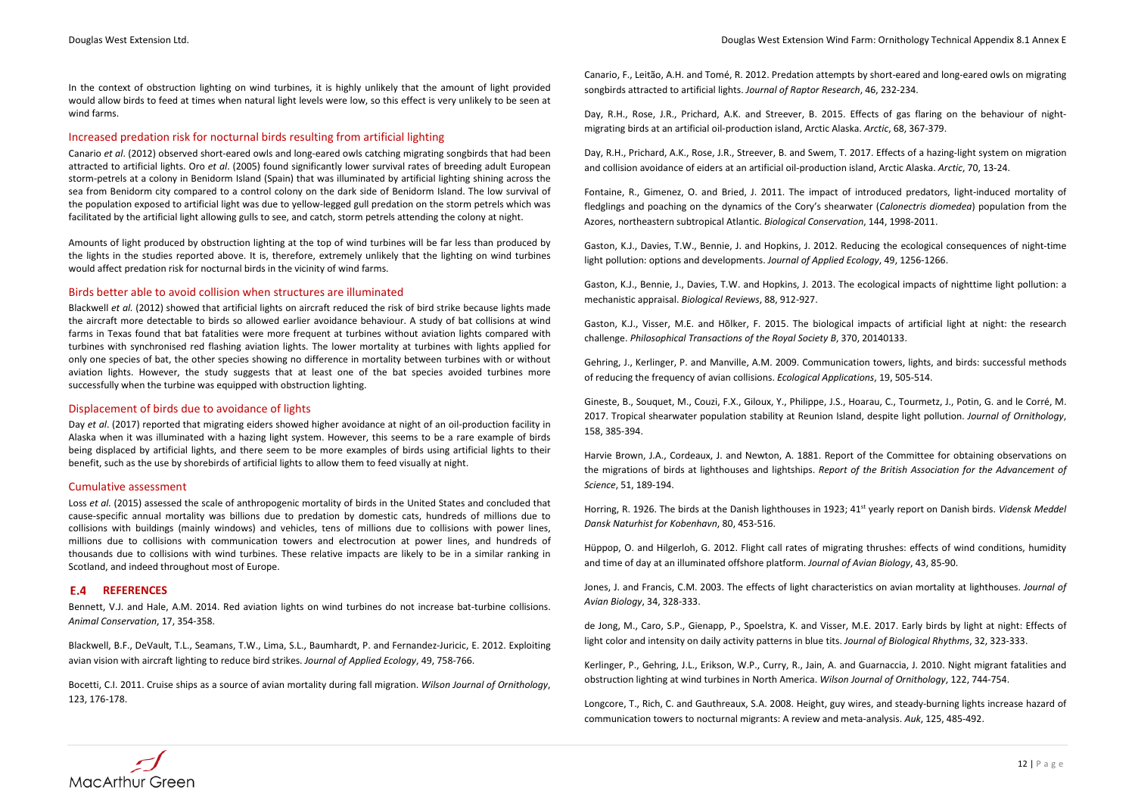Douglas West Extension Ltd. Douglas West Extension Wind Farm: Ornithology Technical Appendix 8.1 Annex E

In the context of obstruction lighting on wind turbines, it is highly unlikely that the amount of light provided would allow birds to feed at times when natural light levels were low, so this effect is very unlikely to be seen at wind farms.

# Increased predation risk for nocturnal birds resulting from artificial lighting

Canario *et al*. (2012) observed short-eared owls and long-eared owls catching migrating songbirds that had been attracted to artificial lights. Oro *et al*. (2005) found significantly lower survival rates of breeding adult European storm-petrels at a colony in Benidorm Island (Spain) that was illuminated by artificial lighting shining across the sea from Benidorm city compared to a control colony on the dark side of Benidorm Island. The low survival of the population exposed to artificial light was due to yellow-legged gull predation on the storm petrels which was facilitated by the artificial light allowing gulls to see, and catch, storm petrels attending the colony at night.

Amounts of light produced by obstruction lighting at the top of wind turbines will be far less than produced by the lights in the studies reported above. It is, therefore, extremely unlikely that the lighting on wind turbines would affect predation risk for nocturnal birds in the vicinity of wind farms.

# Birds better able to avoid collision when structures are illuminated

Blackwell *et al.* (2012) showed that artificial lights on aircraft reduced the risk of bird strike because lights made the aircraft more detectable to birds so allowed earlier avoidance behaviour. A study of bat collisions at wind farms in Texas found that bat fatalities were more frequent at turbines without aviation lights compared with turbines with synchronised red flashing aviation lights. The lower mortality at turbines with lights applied for only one species of bat, the other species showing no difference in mortality between turbines with or without aviation lights. However, the study suggests that at least one of the bat species avoided turbines more successfully when the turbine was equipped with obstruction lighting.

# Displacement of birds due to avoidance of lights

Day *et al*. (2017) reported that migrating eiders showed higher avoidance at night of an oil-production facility in Alaska when it was illuminated with a hazing light system. However, this seems to be a rare example of birds being displaced by artificial lights, and there seem to be more examples of birds using artificial lights to their benefit, such as the use by shorebirds of artificial lights to allow them to feed visually at night.

### Cumulative assessment

Loss *et al.* (2015) assessed the scale of anthropogenic mortality of birds in the United States and concluded that cause-specific annual mortality was billions due to predation by domestic cats, hundreds of millions due to collisions with buildings (mainly windows) and vehicles, tens of millions due to collisions with power lines, millions due to collisions with communication towers and electrocution at power lines, and hundreds of thousands due to collisions with wind turbines. These relative impacts are likely to be in a similar ranking in Scotland, and indeed throughout most of Europe.

# **REFERENCES**

Bennett, V.J. and Hale, A.M. 2014. Red aviation lights on wind turbines do not increase bat-turbine collisions. *Animal Conservation*, 17, 354-358.

Blackwell, B.F., DeVault, T.L., Seamans, T.W., Lima, S.L., Baumhardt, P. and Fernandez-Juricic, E. 2012. Exploiting avian vision with aircraft lighting to reduce bird strikes. *Journal of Applied Ecology*, 49, 758-766.

Bocetti, C.I. 2011. Cruise ships as a source of avian mortality during fall migration. *Wilson Journal of Ornithology*, 123, 176-178.

Canario, F., Leitão, A.H. and Tomé, R. 2012. Predation attempts by short-eared and long-eared owls on migrating songbirds attracted to artificial lights. *Journal of Raptor Research*, 46, 232-234.

Day, R.H., Rose, J.R., Prichard, A.K. and Streever, B. 2015. Effects of gas flaring on the behaviour of nightmigrating birds at an artificial oil-production island, Arctic Alaska. *Arctic*, 68, 367-379.

Day, R.H., Prichard, A.K., Rose, J.R., Streever, B. and Swem, T. 2017. Effects of a hazing-light system on migration and collision avoidance of eiders at an artificial oil-production island, Arctic Alaska. *Arctic*, 70, 13-24.

Fontaine, R., Gimenez, O. and Bried, J. 2011. The impact of introduced predators, light-induced mortality of fledglings and poaching on the dynamics of the Cory's shearwater (*Calonectris diomedea*) population from the Azores, northeastern subtropical Atlantic. *Biological Conservation*, 144, 1998-2011.

Gaston, K.J., Davies, T.W., Bennie, J. and Hopkins, J. 2012. Reducing the ecological consequences of night-time light pollution: options and developments. *Journal of Applied Ecology*, 49, 1256-1266.

Gaston, K.J., Bennie, J., Davies, T.W. and Hopkins, J. 2013. The ecological impacts of nighttime light pollution: a mechanistic appraisal. *Biological Reviews*, 88, 912-927.

Gaston, K.J., Visser, M.E. and Hõlker, F. 2015. The biological impacts of artificial light at night: the research challenge. *Philosophical Transactions of the Royal Society B*, 370, 20140133.

Gehring, J., Kerlinger, P. and Manville, A.M. 2009. Communication towers, lights, and birds: successful methods of reducing the frequency of avian collisions. *Ecological Applications*, 19, 505-514.

Gineste, B., Souquet, M., Couzi, F.X., Giloux, Y., Philippe, J.S., Hoarau, C., Tourmetz, J., Potin, G. and le Corré, M. 2017. Tropical shearwater population stability at Reunion Island, despite light pollution. *Journal of Ornithology*, 158, 385-394.

Harvie Brown, J.A., Cordeaux, J. and Newton, A. 1881. Report of the Committee for obtaining observations on the migrations of birds at lighthouses and lightships. *Report of the British Association for the Advancement of Science*, 51, 189-194.

Horring, R. 1926. The birds at the Danish lighthouses in 1923; 41st yearly report on Danish birds. *Vidensk Meddel Dansk Naturhist for Kobenhavn*, 80, 453-516.

Hüppop, O. and Hilgerloh, G. 2012. Flight call rates of migrating thrushes: effects of wind conditions, humidity and time of day at an illuminated offshore platform. *Journal of Avian Biology*, 43, 85-90.

Jones, J. and Francis, C.M. 2003. The effects of light characteristics on avian mortality at lighthouses. *Journal of Avian Biology*, 34, 328-333.

de Jong, M., Caro, S.P., Gienapp, P., Spoelstra, K. and Visser, M.E. 2017. Early birds by light at night: Effects of light color and intensity on daily activity patterns in blue tits. *Journal of Biological Rhythms*, 32, 323-333.

Kerlinger, P., Gehring, J.L., Erikson, W.P., Curry, R., Jain, A. and Guarnaccia, J. 2010. Night migrant fatalities and obstruction lighting at wind turbines in North America. *Wilson Journal of Ornithology*, 122, 744-754.

Longcore, T., Rich, C. and Gauthreaux, S.A. 2008. Height, guy wires, and steady-burning lights increase hazard of communication towers to nocturnal migrants: A review and meta-analysis. *Auk*, 125, 485-492.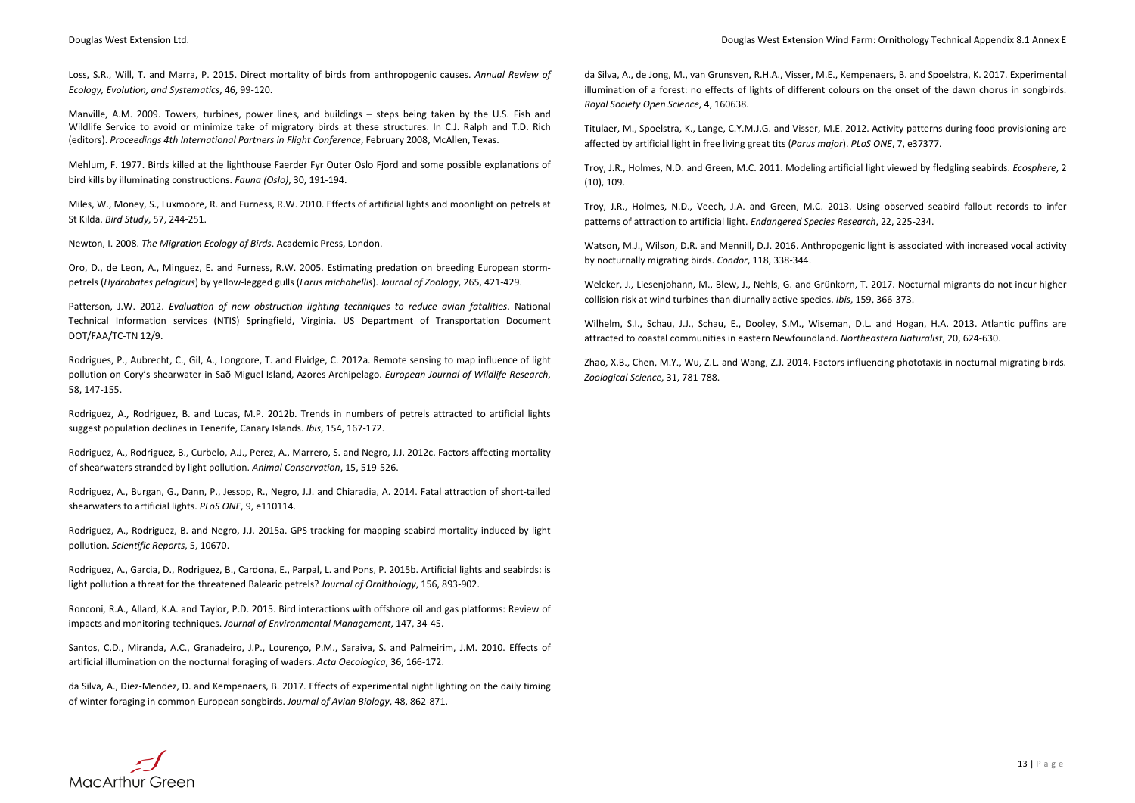Loss, S.R., Will, T. and Marra, P. 2015. Direct mortality of birds from anthropogenic causes. *Annual Review of Ecology, Evolution, and Systematics*, 46, 99-120.

Manville, A.M. 2009. Towers, turbines, power lines, and buildings – steps being taken by the U.S. Fish and Wildlife Service to avoid or minimize take of migratory birds at these structures. In C.J. Ralph and T.D. Rich (editors). *Proceedings 4th International Partners in Flight Conference*, February 2008, McAllen, Texas.

Mehlum, F. 1977. Birds killed at the lighthouse Faerder Fyr Outer Oslo Fjord and some possible explanations of bird kills by illuminating constructions. *Fauna (Oslo)*, 30, 191-194.

Miles, W., Money, S., Luxmoore, R. and Furness, R.W. 2010. Effects of artificial lights and moonlight on petrels at St Kilda. *Bird Study*, 57, 244-251.

Newton, I. 2008. *The Migration Ecology of Birds*. Academic Press, London.

Oro, D., de Leon, A., Minguez, E. and Furness, R.W. 2005. Estimating predation on breeding European stormpetrels (*Hydrobates pelagicus*) by yellow-legged gulls (*Larus michahellis*). *Journal of Zoology*, 265, 421-429.

Patterson, J.W. 2012. *Evaluation of new obstruction lighting techniques to reduce avian fatalities*. National Technical Information services (NTIS) Springfield, Virginia. US Department of Transportation Document DOT/FAA/TC-TN 12/9.

Santos, C.D., Miranda, A.C., Granadeiro, J.P., Lourenco, P.M., Saraiva, S. and Palmeirim, J.M. 2010. Effects of artificial illumination on the nocturnal foraging of waders. *Acta Oecologica*, 36, 166-172.

Rodrigues, P., Aubrecht, C., Gil, A., Longcore, T. and Elvidge, C. 2012a. Remote sensing to map influence of light pollution on Cory's shearwater in Saõ Miguel Island, Azores Archipelago. *European Journal of Wildlife Research*, 58, 147-155.

Rodriguez, A., Rodriguez, B. and Lucas, M.P. 2012b. Trends in numbers of petrels attracted to artificial lights suggest population declines in Tenerife, Canary Islands. *Ibis*, 154, 167-172.

Rodriguez, A., Rodriguez, B., Curbelo, A.J., Perez, A., Marrero, S. and Negro, J.J. 2012c. Factors affecting mortality of shearwaters stranded by light pollution. *Animal Conservation*, 15, 519-526.

Watson, M.J., Wilson, D.R. and Mennill, D.J. 2016. Anthropogenic light is associated with increased vocal activity by nocturnally migrating birds. *Condor*, 118, 338-344.

Rodriguez, A., Burgan, G., Dann, P., Jessop, R., Negro, J.J. and Chiaradia, A. 2014. Fatal attraction of short-tailed shearwaters to artificial lights. *PLoS ONE*, 9, e110114.

Rodriguez, A., Rodriguez, B. and Negro, J.J. 2015a. GPS tracking for mapping seabird mortality induced by light pollution. *Scientific Reports*, 5, 10670.

Rodriguez, A., Garcia, D., Rodriguez, B., Cardona, E., Parpal, L. and Pons, P. 2015b. Artificial lights and seabirds: is light pollution a threat for the threatened Balearic petrels? *Journal of Ornithology*, 156, 893-902.

Ronconi, R.A., Allard, K.A. and Taylor, P.D. 2015. Bird interactions with offshore oil and gas platforms: Review of impacts and monitoring techniques. *Journal of Environmental Management*, 147, 34-45.

da Silva, A., Diez-Mendez, D. and Kempenaers, B. 2017. Effects of experimental night lighting on the daily timing of winter foraging in common European songbirds. *Journal of Avian Biology*, 48, 862-871.

da Silva, A., de Jong, M., van Grunsven, R.H.A., Visser, M.E., Kempenaers, B. and Spoelstra, K. 2017. Experimental illumination of a forest: no effects of lights of different colours on the onset of the dawn chorus in songbirds. *Royal Society Open Science*, 4, 160638.

Titulaer, M., Spoelstra, K., Lange, C.Y.M.J.G. and Visser, M.E. 2012. Activity patterns during food provisioning are affected by artificial light in free living great tits (*Parus major*). *PLoS ONE*, 7, e37377.

Troy, J.R., Holmes, N.D. and Green, M.C. 2011. Modeling artificial light viewed by fledgling seabirds. *Ecosphere*, 2 (10), 109.

Troy, J.R., Holmes, N.D., Veech, J.A. and Green, M.C. 2013. Using observed seabird fallout records to infer patterns of attraction to artificial light. *Endangered Species Research*, 22, 225-234.

Welcker, J., Liesenjohann, M., Blew, J., Nehls, G. and Grünkorn, T. 2017. Nocturnal migrants do not incur higher collision risk at wind turbines than diurnally active species. *Ibis*, 159, 366-373.

Wilhelm, S.I., Schau, J.J., Schau, E., Dooley, S.M., Wiseman, D.L. and Hogan, H.A. 2013. Atlantic puffins are attracted to coastal communities in eastern Newfoundland. *Northeastern Naturalist*, 20, 624-630.

Zhao, X.B., Chen, M.Y., Wu, Z.L. and Wang, Z.J. 2014. Factors influencing phototaxis in nocturnal migrating birds. *Zoological Science*, 31, 781-788.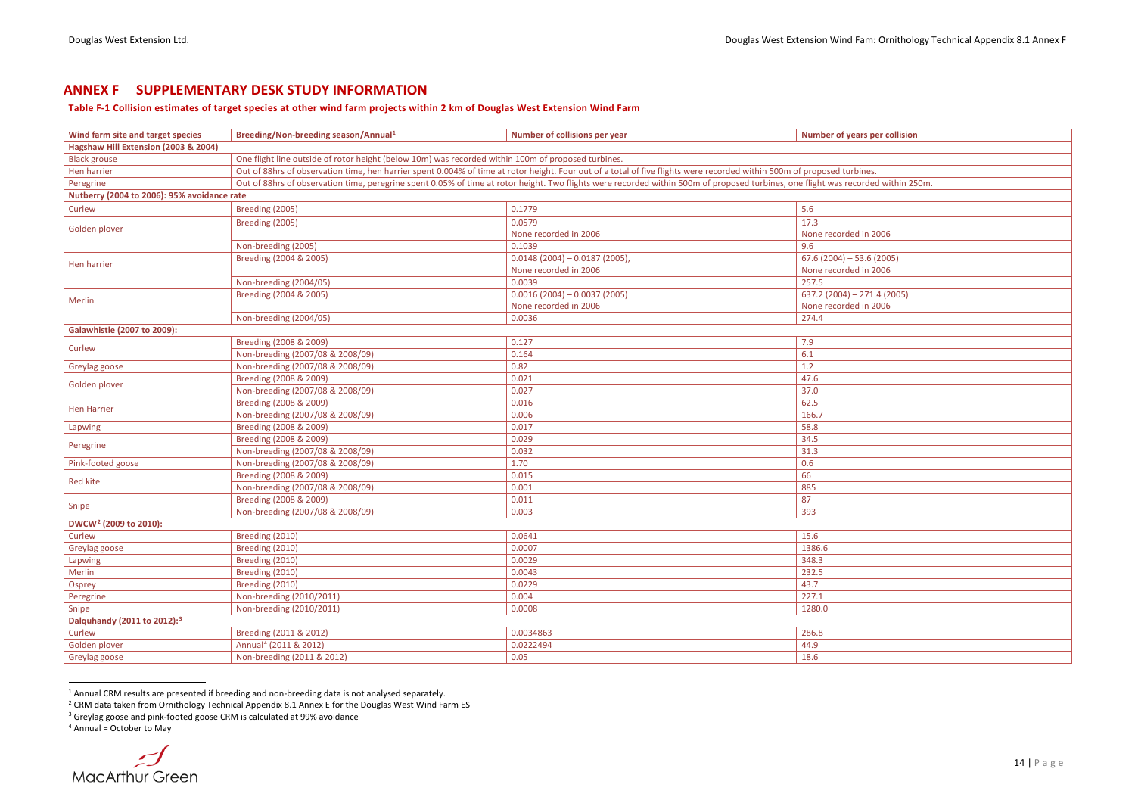# **ANNEX F SUPPLEMENTARY DESK STUDY INFORMATION**

#### **Table F-1 Collision estimates of target species at other wind farm projects within 2 km of Douglas West Extension Wind Farm**

| Wind farm site and target species           | Breeding/Non-breeding season/Annual <sup>1</sup>                                                                                                                        | <b>Number of collisions per year</b>                                                                                                                                              | <b>Number of years per collision</b> |  |  |
|---------------------------------------------|-------------------------------------------------------------------------------------------------------------------------------------------------------------------------|-----------------------------------------------------------------------------------------------------------------------------------------------------------------------------------|--------------------------------------|--|--|
| Hagshaw Hill Extension (2003 & 2004)        |                                                                                                                                                                         |                                                                                                                                                                                   |                                      |  |  |
| <b>Black grouse</b>                         | One flight line outside of rotor height (below 10m) was recorded within 100m of proposed turbines.                                                                      |                                                                                                                                                                                   |                                      |  |  |
| Hen harrier                                 | Out of 88hrs of observation time, hen harrier spent 0.004% of time at rotor height. Four out of a total of five flights were recorded within 500m of proposed turbines. |                                                                                                                                                                                   |                                      |  |  |
| Peregrine                                   |                                                                                                                                                                         | Out of 88hrs of observation time, peregrine spent 0.05% of time at rotor height. Two flights were recorded within 500m of proposed turbines, one flight was recorded within 250m. |                                      |  |  |
| Nutberry (2004 to 2006): 95% avoidance rate |                                                                                                                                                                         |                                                                                                                                                                                   |                                      |  |  |
| Curlew                                      | Breeding (2005)                                                                                                                                                         | 0.1779                                                                                                                                                                            | 5.6                                  |  |  |
|                                             | Breeding (2005)                                                                                                                                                         | 0.0579                                                                                                                                                                            | 17.3                                 |  |  |
| Golden plover                               |                                                                                                                                                                         | None recorded in 2006                                                                                                                                                             | None recorded in 2006                |  |  |
|                                             | Non-breeding (2005)                                                                                                                                                     | 0.1039                                                                                                                                                                            | 9.6                                  |  |  |
|                                             | Breeding (2004 & 2005)                                                                                                                                                  | $0.0148(2004) - 0.0187(2005)$ ,                                                                                                                                                   | $67.6(2004) - 53.6(2005)$            |  |  |
| Hen harrier                                 |                                                                                                                                                                         | None recorded in 2006                                                                                                                                                             | None recorded in 2006                |  |  |
|                                             | Non-breeding (2004/05)                                                                                                                                                  | 0.0039                                                                                                                                                                            | 257.5                                |  |  |
| Merlin                                      | Breeding (2004 & 2005)                                                                                                                                                  | $0.0016(2004) - 0.0037(2005)$                                                                                                                                                     | $637.2$ (2004) - 271.4 (2005)        |  |  |
|                                             |                                                                                                                                                                         | None recorded in 2006                                                                                                                                                             | None recorded in 2006                |  |  |
|                                             | Non-breeding (2004/05)                                                                                                                                                  | 0.0036                                                                                                                                                                            | 274.4                                |  |  |
| <b>Galawhistle (2007 to 2009):</b>          |                                                                                                                                                                         |                                                                                                                                                                                   |                                      |  |  |
| Curlew                                      | Breeding (2008 & 2009)                                                                                                                                                  | 0.127                                                                                                                                                                             | 7.9                                  |  |  |
|                                             | Non-breeding (2007/08 & 2008/09)                                                                                                                                        | 0.164                                                                                                                                                                             | 6.1                                  |  |  |
| Greylag goose                               | Non-breeding (2007/08 & 2008/09)                                                                                                                                        | 0.82                                                                                                                                                                              | 1.2                                  |  |  |
| Golden plover                               | Breeding (2008 & 2009)                                                                                                                                                  | 0.021                                                                                                                                                                             | 47.6                                 |  |  |
|                                             | Non-breeding (2007/08 & 2008/09)                                                                                                                                        | 0.027                                                                                                                                                                             | 37.0                                 |  |  |
| <b>Hen Harrier</b>                          | Breeding (2008 & 2009)                                                                                                                                                  | 0.016                                                                                                                                                                             | 62.5                                 |  |  |
|                                             | Non-breeding (2007/08 & 2008/09)                                                                                                                                        | 0.006                                                                                                                                                                             | 166.7                                |  |  |
| Lapwing                                     | Breeding (2008 & 2009)                                                                                                                                                  | 0.017                                                                                                                                                                             | 58.8                                 |  |  |
| Peregrine                                   | Breeding (2008 & 2009)                                                                                                                                                  | 0.029                                                                                                                                                                             | 34.5                                 |  |  |
|                                             | Non-breeding (2007/08 & 2008/09)                                                                                                                                        | 0.032                                                                                                                                                                             | 31.3                                 |  |  |
| Pink-footed goose                           | Non-breeding (2007/08 & 2008/09)                                                                                                                                        | 1.70                                                                                                                                                                              | 0.6                                  |  |  |
| Red kite                                    | Breeding (2008 & 2009)                                                                                                                                                  | 0.015                                                                                                                                                                             | 66                                   |  |  |
|                                             | Non-breeding (2007/08 & 2008/09)                                                                                                                                        | 0.001                                                                                                                                                                             | 885                                  |  |  |
| Snipe                                       | Breeding (2008 & 2009)                                                                                                                                                  | 0.011                                                                                                                                                                             | 87                                   |  |  |
|                                             | Non-breeding (2007/08 & 2008/09)                                                                                                                                        | 0.003                                                                                                                                                                             | 393                                  |  |  |
| DWCW <sup>2</sup> (2009 to 2010):           |                                                                                                                                                                         |                                                                                                                                                                                   |                                      |  |  |
| Curlew                                      | Breeding (2010)                                                                                                                                                         | 0.0641                                                                                                                                                                            | 15.6                                 |  |  |
| Greylag goose                               | Breeding (2010)                                                                                                                                                         | 0.0007                                                                                                                                                                            | 1386.6                               |  |  |
| Lapwing                                     | Breeding (2010)                                                                                                                                                         | 0.0029                                                                                                                                                                            | 348.3                                |  |  |
| Merlin                                      | Breeding (2010)                                                                                                                                                         | 0.0043                                                                                                                                                                            | 232.5                                |  |  |
| Osprey                                      | Breeding (2010)                                                                                                                                                         | 0.0229                                                                                                                                                                            | 43.7                                 |  |  |
| Peregrine                                   | Non-breeding (2010/2011)                                                                                                                                                | 0.004                                                                                                                                                                             | 227.1                                |  |  |
| Snipe                                       | Non-breeding (2010/2011)                                                                                                                                                | 0.0008                                                                                                                                                                            | 1280.0                               |  |  |
| Dalquhandy (2011 to 2012): <sup>3</sup>     |                                                                                                                                                                         |                                                                                                                                                                                   |                                      |  |  |
| Curlew                                      | Breeding (2011 & 2012)                                                                                                                                                  | 0.0034863                                                                                                                                                                         | 286.8                                |  |  |
| Golden plover                               | Annual <sup>4</sup> (2011 & 2012)                                                                                                                                       | 0.0222494                                                                                                                                                                         | 44.9                                 |  |  |
| Greylag goose                               | Non-breeding (2011 & 2012)                                                                                                                                              | 0.05                                                                                                                                                                              | 18.6                                 |  |  |



<span id="page-18-3"></span><span id="page-18-2"></span><span id="page-18-1"></span><span id="page-18-0"></span>

| ars per collision                   |
|-------------------------------------|
|                                     |
|                                     |
| ines.                               |
| orded within 250m.                  |
|                                     |
|                                     |
| dim 2006                            |
|                                     |
| $\frac{1}{6}$ (2005)                |
| dim 2006                            |
|                                     |
| $\sqrt{271.4(2005)}$<br>d in $2006$ |
|                                     |
|                                     |
|                                     |
|                                     |
|                                     |
|                                     |
|                                     |
|                                     |
|                                     |
|                                     |
|                                     |
|                                     |
|                                     |
|                                     |
|                                     |
|                                     |
|                                     |
|                                     |
|                                     |
|                                     |
|                                     |
|                                     |
|                                     |
|                                     |
|                                     |
|                                     |
|                                     |
|                                     |
|                                     |

<sup>&</sup>lt;sup>1</sup> Annual CRM results are presented if breeding and non-breeding data is not analysed separately.<br><sup>2</sup> CRM data taken from Ornithology Technical Appendix 8.1 Annex E for the Douglas West Wind Farm ES

<sup>&</sup>lt;sup>3</sup> Greylag goose and pink-footed goose CRM is calculated at 99% avoidance 4 Annual = October to May